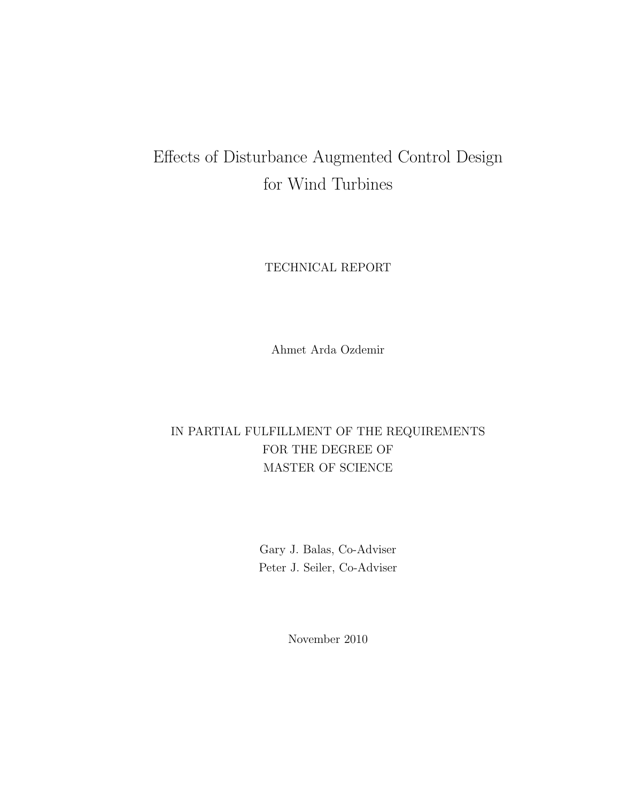#### Effects of Disturbance Augmented Control Design for Wind Turbines

TECHNICAL REPORT

Ahmet Arda Ozdemir

#### IN PARTIAL FULFILLMENT OF THE REQUIREMENTS FOR THE DEGREE OF MASTER OF SCIENCE

Gary J. Balas, Co-Adviser Peter J. Seiler, Co-Adviser

November 2010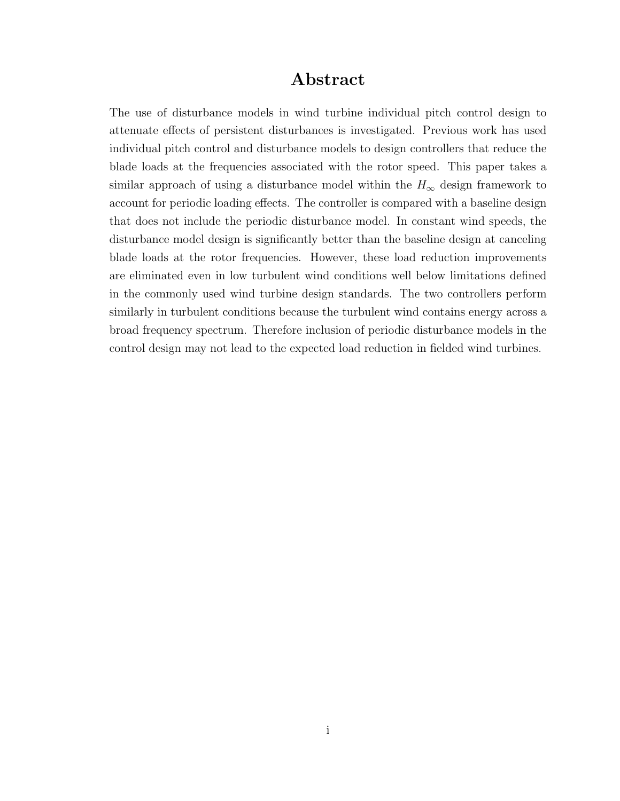#### **Abstract**

The use of disturbance models in wind turbine individual pitch control design to attenuate effects of persistent disturbances is investigated. Previous work has used individual pitch control and disturbance models to design controllers that reduce the blade loads at the frequencies associated with the rotor speed. This paper takes a similar approach of using a disturbance model within the  $H_{\infty}$  design framework to account for periodic loading effects. The controller is compared with a baseline design that does not include the periodic disturbance model. In constant wind speeds, the disturbance model design is significantly better than the baseline design at canceling blade loads at the rotor frequencies. However, these load reduction improvements are eliminated even in low turbulent wind conditions well below limitations defined in the commonly used wind turbine design standards. The two controllers perform similarly in turbulent conditions because the turbulent wind contains energy across a broad frequency spectrum. Therefore inclusion of periodic disturbance models in the control design may not lead to the expected load reduction in fielded wind turbines.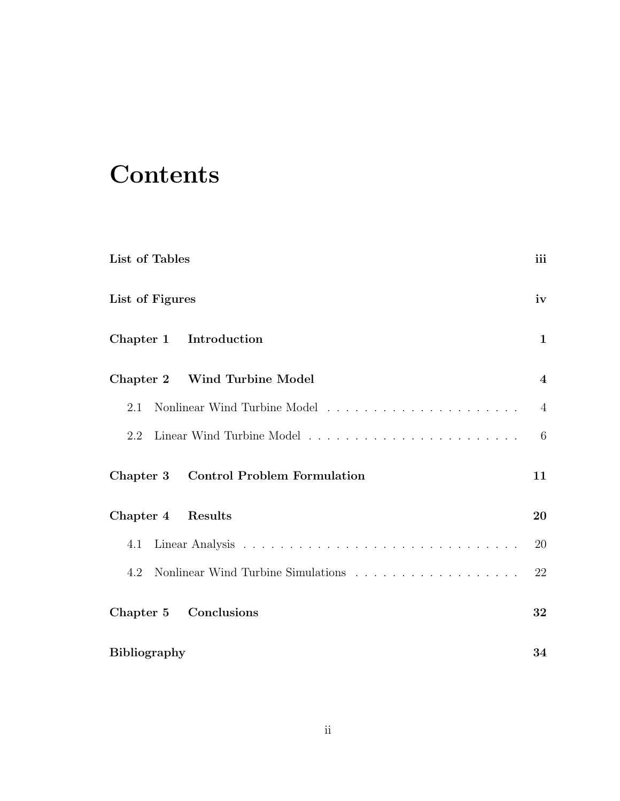# **Contents**

| List of Tables                                                                        | iii              |
|---------------------------------------------------------------------------------------|------------------|
| List of Figures                                                                       | iv               |
| Chapter 1 Introduction                                                                | 1                |
| Chapter 2 Wind Turbine Model                                                          | $\boldsymbol{4}$ |
| 2.1                                                                                   | $\overline{4}$   |
| 2.2                                                                                   | 6                |
| Chapter 3 Control Problem Formulation                                                 | 11               |
| Chapter 4 Results                                                                     | 20               |
| 4.1                                                                                   | 20               |
| Nonlinear Wind Turbine Simulations $\ldots \ldots \ldots \ldots \ldots \ldots$<br>4.2 | 22               |
| Chapter 5 Conclusions                                                                 | 32               |
| <b>Bibliography</b>                                                                   | 34               |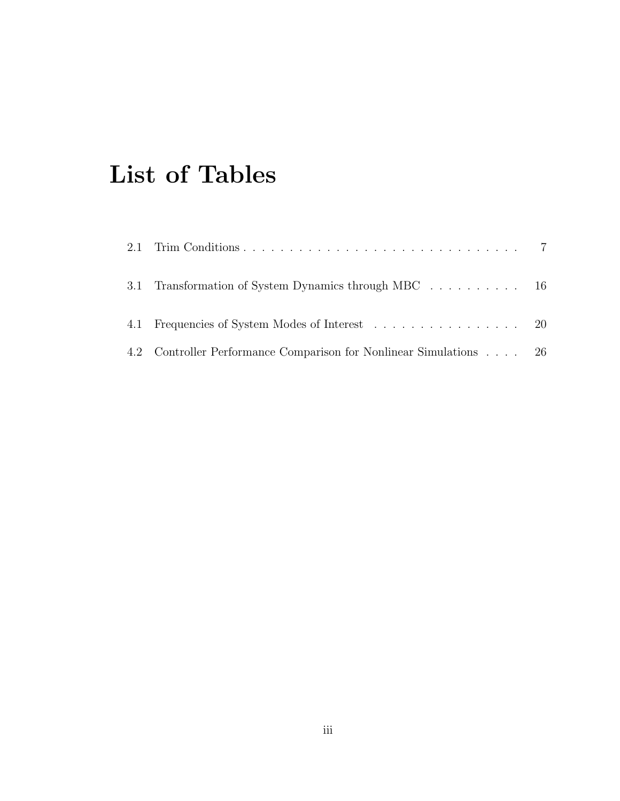# **List of Tables**

| 3.1 Transformation of System Dynamics through MBC 16               |  |
|--------------------------------------------------------------------|--|
| 4.1 Frequencies of System Modes of Interest 20                     |  |
| 4.2 Controller Performance Comparison for Nonlinear Simulations 26 |  |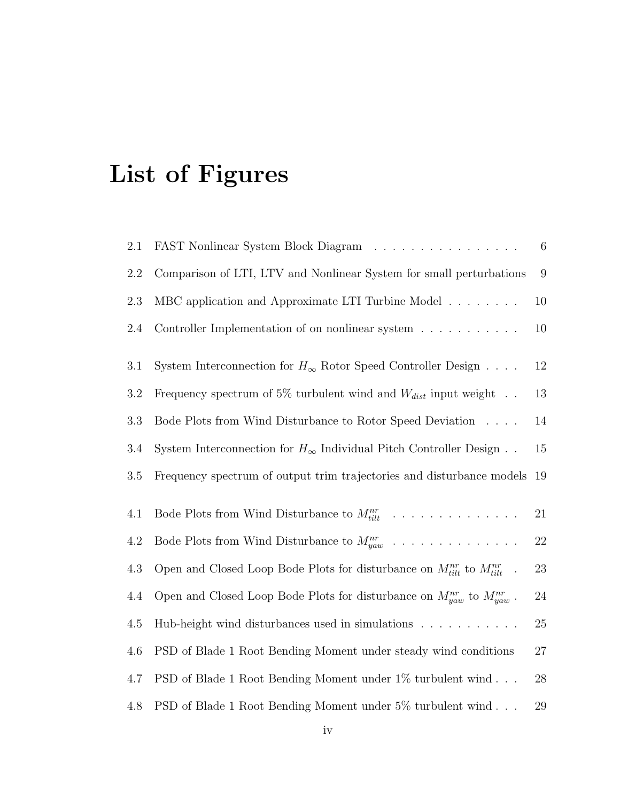# **List of Figures**

| FAST Nonlinear System Block Diagram                                                   | 6                |
|---------------------------------------------------------------------------------------|------------------|
| Comparison of LTI, LTV and Nonlinear System for small perturbations                   | $\boldsymbol{9}$ |
| MBC application and Approximate LTI Turbine Model                                     | 10               |
| Controller Implementation of on nonlinear system                                      | 10               |
| System Interconnection for $H_{\infty}$ Rotor Speed Controller Design                 | $12\,$           |
| Frequency spectrum of 5% turbulent wind and $W_{dist}$ input weight                   | 13               |
| Bode Plots from Wind Disturbance to Rotor Speed Deviation                             | 14               |
| System Interconnection for $H_{\infty}$ Individual Pitch Controller Design            | 15               |
| Frequency spectrum of output trim trajectories and disturbance models                 | 19               |
| Bode Plots from Wind Disturbance to $M_{tilt}^{nr}$                                   | 21               |
| Bode Plots from Wind Disturbance to $M_{yaw}^{nr}$                                    | $22\,$           |
| Open and Closed Loop Bode Plots for disturbance on $M_{tilt}^{nr}$ to $M_{tilt}^{nr}$ | $23\,$           |
| Open and Closed Loop Bode Plots for disturbance on $M_{yaw}^{nr}$ to $M_{yaw}^{nr}$ . | $24\,$           |
| Hub-height wind disturbances used in simulations                                      | $25\,$           |
| PSD of Blade 1 Root Bending Moment under steady wind conditions                       | $27\,$           |
| PSD of Blade 1 Root Bending Moment under 1% turbulent wind                            | 28               |
| PSD of Blade 1 Root Bending Moment under 5% turbulent wind                            | $29\,$           |
|                                                                                       |                  |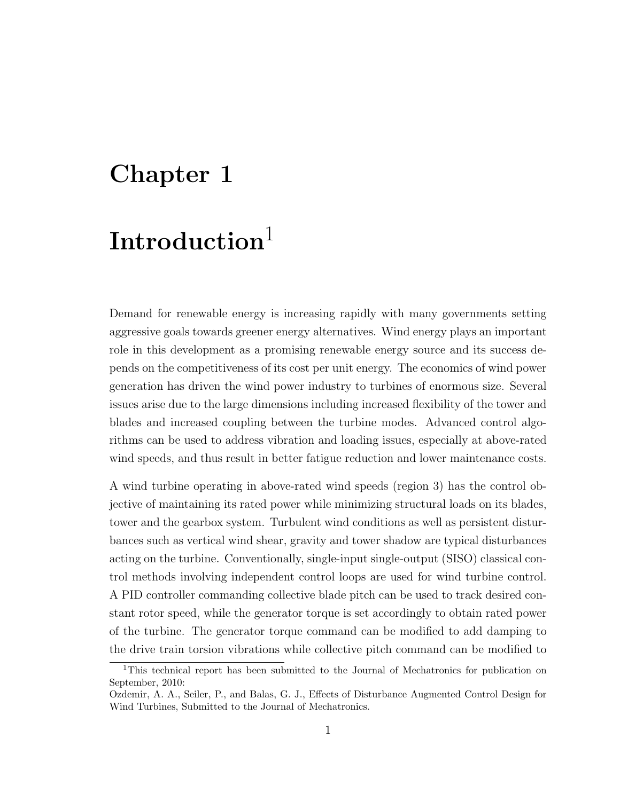## **Chapter 1**

## **Introduction**<sup>1</sup>

Demand for renewable energy is increasing rapidly with many governments setting aggressive goals towards greener energy alternatives. Wind energy plays an important role in this development as a promising renewable energy source and its success depends on the competitiveness of its cost per unit energy. The economics of wind power generation has driven the wind power industry to turbines of enormous size. Several issues arise due to the large dimensions including increased flexibility of the tower and blades and increased coupling between the turbine modes. Advanced control algorithms can be used to address vibration and loading issues, especially at above-rated wind speeds, and thus result in better fatigue reduction and lower maintenance costs.

A wind turbine operating in above-rated wind speeds (region 3) has the control objective of maintaining its rated power while minimizing structural loads on its blades, tower and the gearbox system. Turbulent wind conditions as well as persistent disturbances such as vertical wind shear, gravity and tower shadow are typical disturbances acting on the turbine. Conventionally, single-input single-output (SISO) classical control methods involving independent control loops are used for wind turbine control. A PID controller commanding collective blade pitch can be used to track desired constant rotor speed, while the generator torque is set accordingly to obtain rated power of the turbine. The generator torque command can be modified to add damping to the drive train torsion vibrations while collective pitch command can be modified to

<sup>1</sup>This technical report has been submitted to the Journal of Mechatronics for publication on September, 2010:

Ozdemir, A. A., Seiler, P., and Balas, G. J., Effects of Disturbance Augmented Control Design for Wind Turbines, Submitted to the Journal of Mechatronics.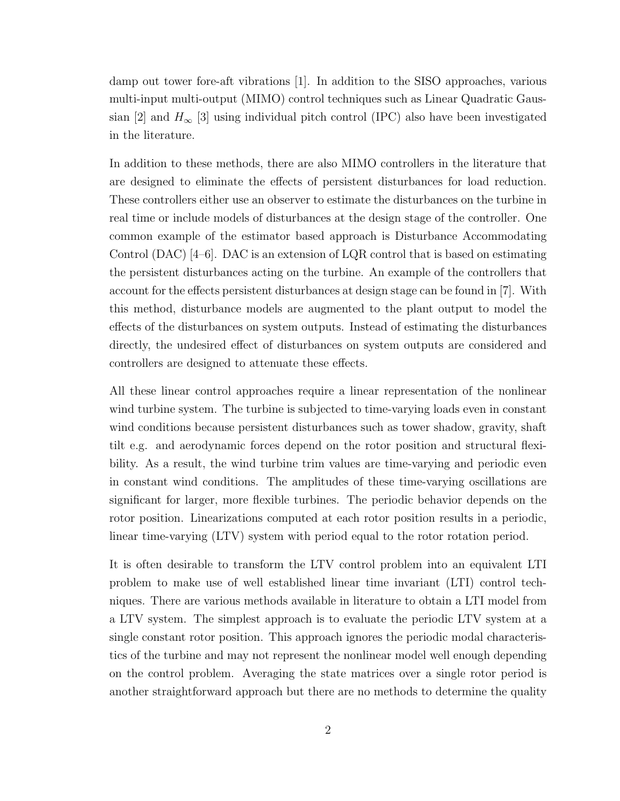damp out tower fore-aft vibrations [1]. In addition to the SISO approaches, various multi-input multi-output (MIMO) control techniques such as Linear Quadratic Gaussian [2] and  $H_{\infty}$  [3] using individual pitch control (IPC) also have been investigated in the literature.

In addition to these methods, there are also MIMO controllers in the literature that are designed to eliminate the effects of persistent disturbances for load reduction. These controllers either use an observer to estimate the disturbances on the turbine in real time or include models of disturbances at the design stage of the controller. One common example of the estimator based approach is Disturbance Accommodating Control (DAC) [4–6]. DAC is an extension of LQR control that is based on estimating the persistent disturbances acting on the turbine. An example of the controllers that account for the effects persistent disturbances at design stage can be found in [7]. With this method, disturbance models are augmented to the plant output to model the effects of the disturbances on system outputs. Instead of estimating the disturbances directly, the undesired effect of disturbances on system outputs are considered and controllers are designed to attenuate these effects.

All these linear control approaches require a linear representation of the nonlinear wind turbine system. The turbine is subjected to time-varying loads even in constant wind conditions because persistent disturbances such as tower shadow, gravity, shaft tilt e.g. and aerodynamic forces depend on the rotor position and structural flexibility. As a result, the wind turbine trim values are time-varying and periodic even in constant wind conditions. The amplitudes of these time-varying oscillations are significant for larger, more flexible turbines. The periodic behavior depends on the rotor position. Linearizations computed at each rotor position results in a periodic, linear time-varying (LTV) system with period equal to the rotor rotation period.

It is often desirable to transform the LTV control problem into an equivalent LTI problem to make use of well established linear time invariant (LTI) control techniques. There are various methods available in literature to obtain a LTI model from a LTV system. The simplest approach is to evaluate the periodic LTV system at a single constant rotor position. This approach ignores the periodic modal characteristics of the turbine and may not represent the nonlinear model well enough depending on the control problem. Averaging the state matrices over a single rotor period is another straightforward approach but there are no methods to determine the quality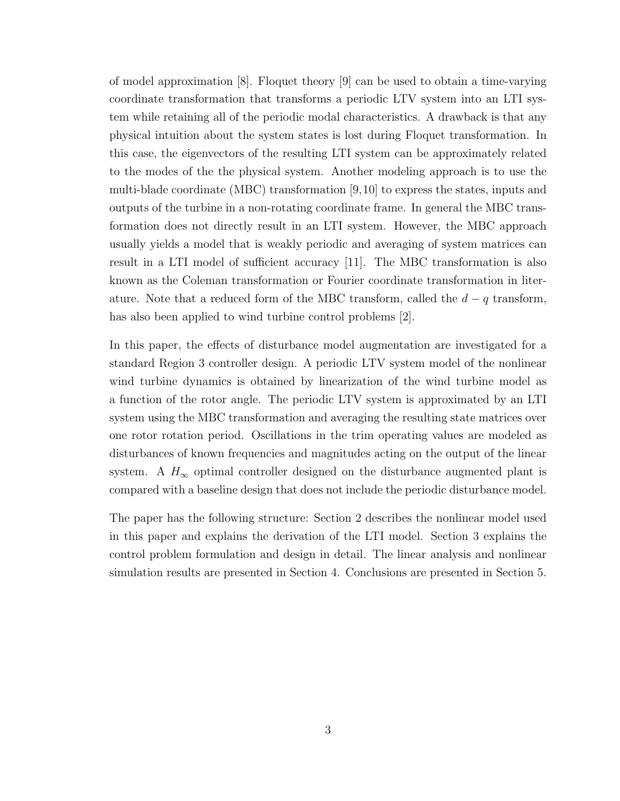of model approximation [8]. Floquet theory [9] can be used to obtain a time-varying coordinate transformation that transforms a periodic LTV system into an LTI system while retaining all of the periodic modal characteristics. A drawback is that any physical intuition about the system states is lost during Floquet transformation. In this case, the eigenvectors of the resulting LTI system can be approximately related to the modes of the the physical system. Another modeling approach is to use the multi-blade coordinate (MBC) transformation [9,10] to express the states, inputs and outputs of the turbine in a non-rotating coordinate frame. In general the MBC transformation does not directly result in an LTI system. However, the MBC approach usually yields a model that is weakly periodic and averaging of system matrices can result in a LTI model of sufficient accuracy [11]. The MBC transformation is also known as the Coleman transformation or Fourier coordinate transformation in literature. Note that a reduced form of the MBC transform, called the  $d - q$  transform, has also been applied to wind turbine control problems [2].

In this paper, the effects of disturbance model augmentation are investigated for a standard Region 3 controller design. A periodic LTV system model of the nonlinear wind turbine dynamics is obtained by linearization of the wind turbine model as a function of the rotor angle. The periodic LTV system is approximated by an LTI system using the MBC transformation and averaging the resulting state matrices over one rotor rotation period. Oscillations in the trim operating values are modeled as disturbances of known frequencies and magnitudes acting on the output of the linear system. A  $H_{\infty}$  optimal controller designed on the disturbance augmented plant is compared with a baseline design that does not include the periodic disturbance model.

The paper has the following structure: Section 2 describes the nonlinear model used in this paper and explains the derivation of the LTI model. Section 3 explains the control problem formulation and design in detail. The linear analysis and nonlinear simulation results are presented in Section 4. Conclusions are presented in Section 5.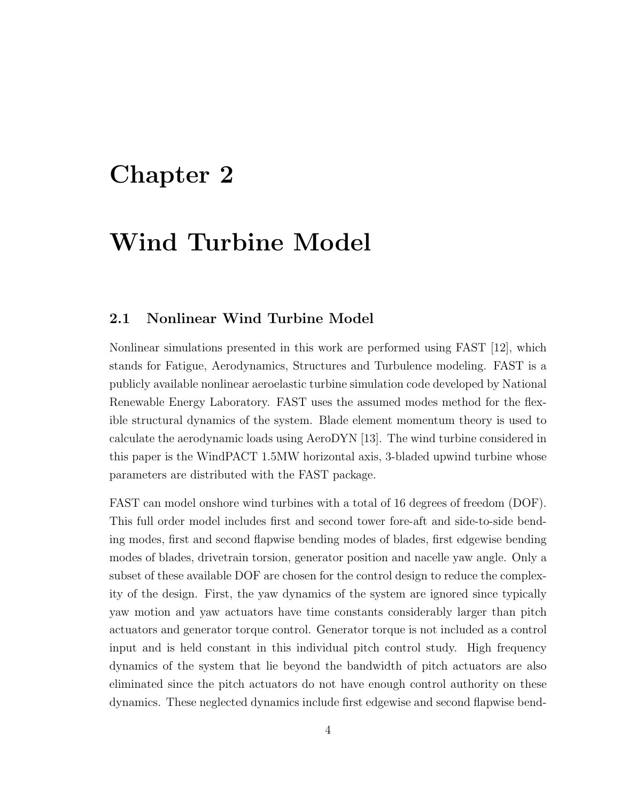### **Chapter 2**

## **Wind Turbine Model**

#### **2.1 Nonlinear Wind Turbine Model**

Nonlinear simulations presented in this work are performed using FAST [12], which stands for Fatigue, Aerodynamics, Structures and Turbulence modeling. FAST is a publicly available nonlinear aeroelastic turbine simulation code developed by National Renewable Energy Laboratory. FAST uses the assumed modes method for the flexible structural dynamics of the system. Blade element momentum theory is used to calculate the aerodynamic loads using AeroDYN [13]. The wind turbine considered in this paper is the WindPACT 1.5MW horizontal axis, 3-bladed upwind turbine whose parameters are distributed with the FAST package.

FAST can model onshore wind turbines with a total of 16 degrees of freedom (DOF). This full order model includes first and second tower fore-aft and side-to-side bending modes, first and second flapwise bending modes of blades, first edgewise bending modes of blades, drivetrain torsion, generator position and nacelle yaw angle. Only a subset of these available DOF are chosen for the control design to reduce the complexity of the design. First, the yaw dynamics of the system are ignored since typically yaw motion and yaw actuators have time constants considerably larger than pitch actuators and generator torque control. Generator torque is not included as a control input and is held constant in this individual pitch control study. High frequency dynamics of the system that lie beyond the bandwidth of pitch actuators are also eliminated since the pitch actuators do not have enough control authority on these dynamics. These neglected dynamics include first edgewise and second flapwise bend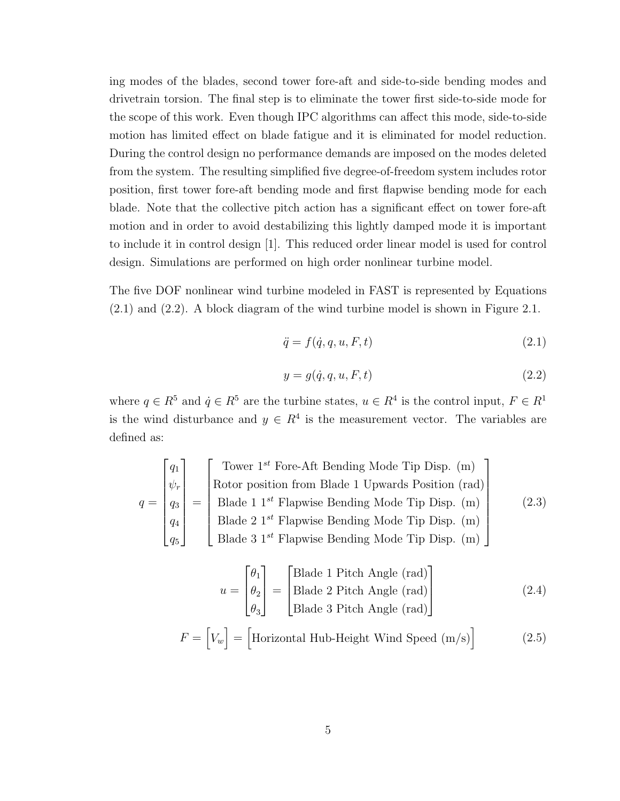ing modes of the blades, second tower fore-aft and side-to-side bending modes and drivetrain torsion. The final step is to eliminate the tower first side-to-side mode for the scope of this work. Even though IPC algorithms can affect this mode, side-to-side motion has limited effect on blade fatigue and it is eliminated for model reduction. During the control design no performance demands are imposed on the modes deleted from the system. The resulting simplified five degree-of-freedom system includes rotor position, first tower fore-aft bending mode and first flapwise bending mode for each blade. Note that the collective pitch action has a significant effect on tower fore-aft motion and in order to avoid destabilizing this lightly damped mode it is important to include it in control design [1]. This reduced order linear model is used for control design. Simulations are performed on high order nonlinear turbine model.

The five DOF nonlinear wind turbine modeled in FAST is represented by Equations (2.1) and (2.2). A block diagram of the wind turbine model is shown in Figure 2.1.

$$
\ddot{q} = f(\dot{q}, q, u, F, t) \tag{2.1}
$$

$$
y = g(\dot{q}, q, u, F, t) \tag{2.2}
$$

where  $q \in R^5$  and  $\dot{q} \in R^5$  are the turbine states,  $u \in R^4$  is the control input,  $F \in R^1$ is the wind disturbance and  $y \in R^4$  is the measurement vector. The variables are defined as:

$$
q = \begin{bmatrix} q_1 \\ \psi_r \\ q_3 \\ q_4 \\ q_5 \end{bmatrix} = \begin{bmatrix} \text{Lower } 1^{st} \text{ Force-Aft Bending Mode Tip Disp. (m)} \\ \text{Rotor position from Blade 1 Upwards Position (rad)} \\ \text{Blade 1 } 1^{st} \text{ Flapwise Bending Mode Tip Disp. (m)} \\ \text{Blade 2 } 1^{st} \text{ Flapwise Bending Mode Tip Disp. (m)} \end{bmatrix}
$$
 (2.3)  

$$
u = \begin{bmatrix} \theta_1 \\ \theta_2 \\ \theta_3 \end{bmatrix} = \begin{bmatrix} \text{Blade 1 Pitch Angle (rad)} \\ \text{Blade 2 Pitch Angle (rad)} \\ \text{Blade 3 Pitch Angle (rad)} \end{bmatrix}
$$
 (2.4)

$$
F = [V_w] = [\text{Horizontal Hub-Height Wind Speed (m/s)]}
$$
 (2.5)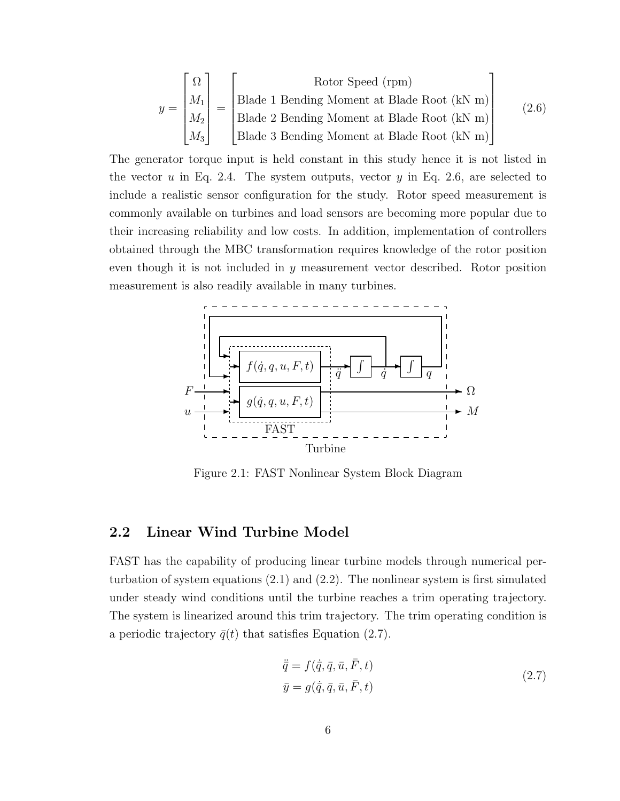$$
y = \begin{bmatrix} \Omega \\ M_1 \\ M_2 \\ M_3 \end{bmatrix} = \begin{bmatrix} \text{Rotor Speed (rpm)} \\ \text{Blade 1 Bending Moment at Blade Root (kN m)} \\ \text{Blade 2 Bending Moment at Blade Root (kN m)} \\ \text{Blade 3 Bending Moment at Blade Root (kN m)} \end{bmatrix}
$$
(2.6)

The generator torque input is held constant in this study hence it is not listed in the vector *u* in Eq. 2.4. The system outputs, vector *y* in Eq. 2.6, are selected to include a realistic sensor configuration for the study. Rotor speed measurement is commonly available on turbines and load sensors are becoming more popular due to their increasing reliability and low costs. In addition, implementation of controllers obtained through the MBC transformation requires knowledge of the rotor position even though it is not included in *y* measurement vector described. Rotor position measurement is also readily available in many turbines.



Figure 2.1: FAST Nonlinear System Block Diagram

#### **2.2 Linear Wind Turbine Model**

FAST has the capability of producing linear turbine models through numerical perturbation of system equations (2.1) and (2.2). The nonlinear system is first simulated under steady wind conditions until the turbine reaches a trim operating trajectory. The system is linearized around this trim trajectory. The trim operating condition is a periodic trajectory  $\bar{q}(t)$  that satisfies Equation (2.7).

$$
\ddot{\overline{q}} = f(\dot{\overline{q}}, \overline{q}, \overline{u}, \overline{F}, t)
$$
  

$$
\overline{y} = g(\dot{\overline{q}}, \overline{q}, \overline{u}, \overline{F}, t)
$$
 (2.7)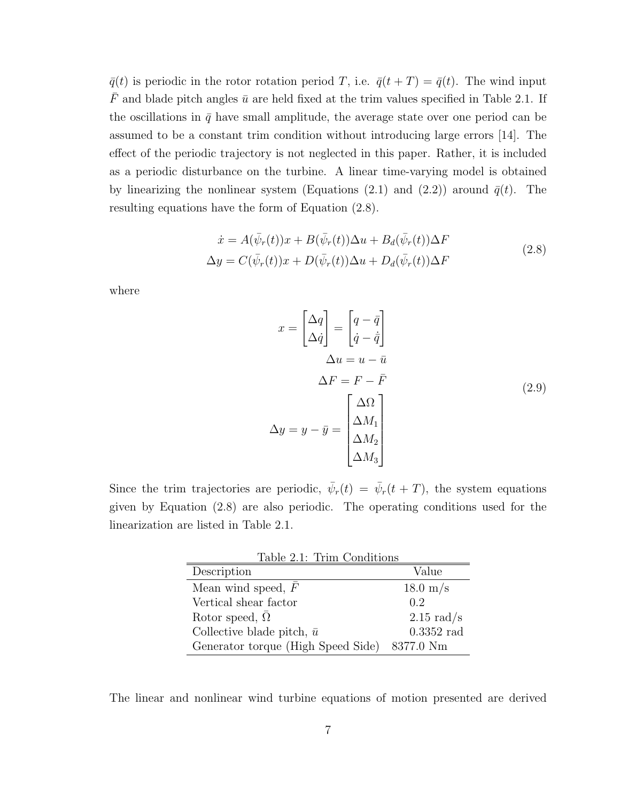$\bar{q}(t)$  is periodic in the rotor rotation period *T*, i.e.  $\bar{q}(t+T) = \bar{q}(t)$ . The wind input  $\bar{F}$  and blade pitch angles  $\bar{u}$  are held fixed at the trim values specified in Table 2.1. If the oscillations in  $\bar{q}$  have small amplitude, the average state over one period can be assumed to be a constant trim condition without introducing large errors [14]. The effect of the periodic trajectory is not neglected in this paper. Rather, it is included as a periodic disturbance on the turbine. A linear time-varying model is obtained by linearizing the nonlinear system (Equations (2.1) and (2.2)) around  $\bar{q}(t)$ . The resulting equations have the form of Equation (2.8).

$$
\dot{x} = A(\bar{\psi}_r(t))x + B(\bar{\psi}_r(t))\Delta u + B_d(\bar{\psi}_r(t))\Delta F
$$
  

$$
\Delta y = C(\bar{\psi}_r(t))x + D(\bar{\psi}_r(t))\Delta u + D_d(\bar{\psi}_r(t))\Delta F
$$
\n(2.8)

where

$$
x = \begin{bmatrix} \Delta q \\ \Delta \dot{q} \end{bmatrix} = \begin{bmatrix} q - \bar{q} \\ \dot{q} - \dot{\bar{q}} \end{bmatrix}
$$
  
\n
$$
\Delta u = u - \bar{u}
$$
  
\n
$$
\Delta F = F - \bar{F}
$$
  
\n
$$
\Delta y = y - \bar{y} = \begin{bmatrix} \Delta \Omega \\ \Delta M_1 \\ \Delta M_2 \\ \Delta M_3 \end{bmatrix}
$$
\n(2.9)

Since the trim trajectories are periodic,  $\bar{\psi}_r(t) = \bar{\psi}_r(t+T)$ , the system equations given by Equation (2.8) are also periodic. The operating conditions used for the linearization are listed in Table 2.1.

| Table 2.1: Trim Conditions                   |                      |
|----------------------------------------------|----------------------|
| Description                                  | Value                |
| Mean wind speed, $F$                         | $18.0 \text{ m/s}$   |
| Vertical shear factor                        | 0.2                  |
| Rotor speed, $\overline{\Omega}$             | $2.15 \text{ rad/s}$ |
| Collective blade pitch, $\bar{u}$            | $0.3352$ rad         |
| Generator torque (High Speed Side) 8377.0 Nm |                      |

The linear and nonlinear wind turbine equations of motion presented are derived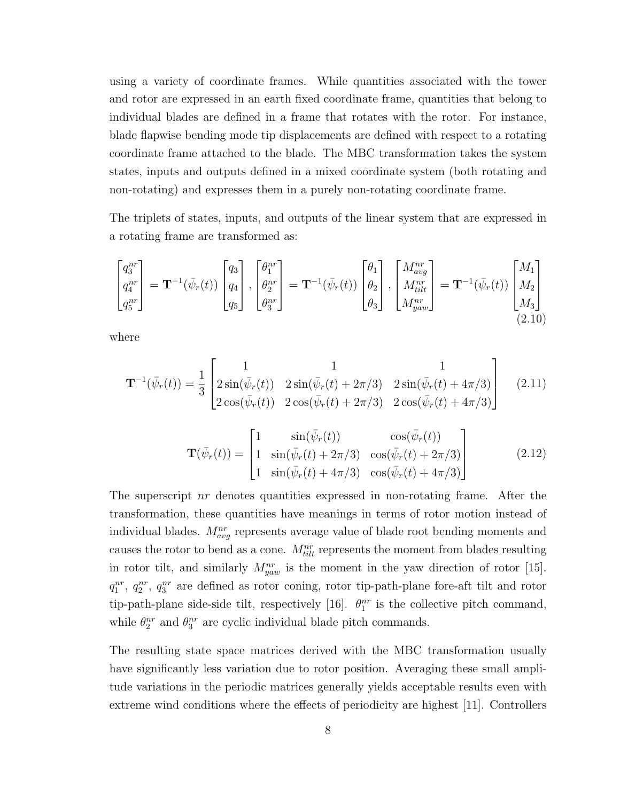using a variety of coordinate frames. While quantities associated with the tower and rotor are expressed in an earth fixed coordinate frame, quantities that belong to individual blades are defined in a frame that rotates with the rotor. For instance, blade flapwise bending mode tip displacements are defined with respect to a rotating coordinate frame attached to the blade. The MBC transformation takes the system states, inputs and outputs defined in a mixed coordinate system (both rotating and non-rotating) and expresses them in a purely non-rotating coordinate frame.

The triplets of states, inputs, and outputs of the linear system that are expressed in a rotating frame are transformed as:

$$
\begin{bmatrix} q_3^{nr} \\ q_4^{nr} \\ q_5^{nr} \end{bmatrix} = \mathbf{T}^{-1}(\bar{\psi}_r(t)) \begin{bmatrix} q_3 \\ q_4 \\ q_5 \end{bmatrix}, \begin{bmatrix} \theta_1^{nr} \\ \theta_2^{nr} \\ \theta_3^{nr} \end{bmatrix} = \mathbf{T}^{-1}(\bar{\psi}_r(t)) \begin{bmatrix} \theta_1 \\ \theta_2 \\ \theta_3 \end{bmatrix}, \begin{bmatrix} M_{avg}^{nr} \\ M_{tilt}^{nr} \\ M_{yaw}^{nr} \end{bmatrix} = \mathbf{T}^{-1}(\bar{\psi}_r(t)) \begin{bmatrix} M_1 \\ M_2 \\ M_3 \end{bmatrix}
$$
\n(2.10)

where

$$
\mathbf{T}^{-1}(\bar{\psi}_r(t)) = \frac{1}{3} \begin{bmatrix} 1 & 1 & 1 \\ 2\sin(\bar{\psi}_r(t)) & 2\sin(\bar{\psi}_r(t) + 2\pi/3) & 2\sin(\bar{\psi}_r(t) + 4\pi/3) \\ 2\cos(\bar{\psi}_r(t)) & 2\cos(\bar{\psi}_r(t) + 2\pi/3) & 2\cos(\bar{\psi}_r(t) + 4\pi/3) \end{bmatrix}
$$
(2.11)

$$
\mathbf{T}(\bar{\psi}_r(t)) = \begin{bmatrix} 1 & \sin(\bar{\psi}_r(t)) & \cos(\bar{\psi}_r(t)) \\ 1 & \sin(\bar{\psi}_r(t) + 2\pi/3) & \cos(\bar{\psi}_r(t) + 2\pi/3) \\ 1 & \sin(\bar{\psi}_r(t) + 4\pi/3) & \cos(\bar{\psi}_r(t) + 4\pi/3) \end{bmatrix}
$$
(2.12)

The superscript *nr* denotes quantities expressed in non-rotating frame. After the transformation, these quantities have meanings in terms of rotor motion instead of individual blades.  $M_{avg}^{nr}$  represents average value of blade root bending moments and causes the rotor to bend as a cone.  $M_{tilt}^{nr}$  represents the moment from blades resulting in rotor tilt, and similarly  $M_{yaw}^{nr}$  is the moment in the yaw direction of rotor [15].  $q_1^{nr}$ ,  $q_2^{nr}$ ,  $q_3^{nr}$  are defined as rotor coning, rotor tip-path-plane fore-aft tilt and rotor tip-path-plane side-side tilt, respectively [16].  $\theta_1^{nr}$  is the collective pitch command, while  $\theta_2^{nr}$  and  $\theta_3^{nr}$  are cyclic individual blade pitch commands.

The resulting state space matrices derived with the MBC transformation usually have significantly less variation due to rotor position. Averaging these small amplitude variations in the periodic matrices generally yields acceptable results even with extreme wind conditions where the effects of periodicity are highest [11]. Controllers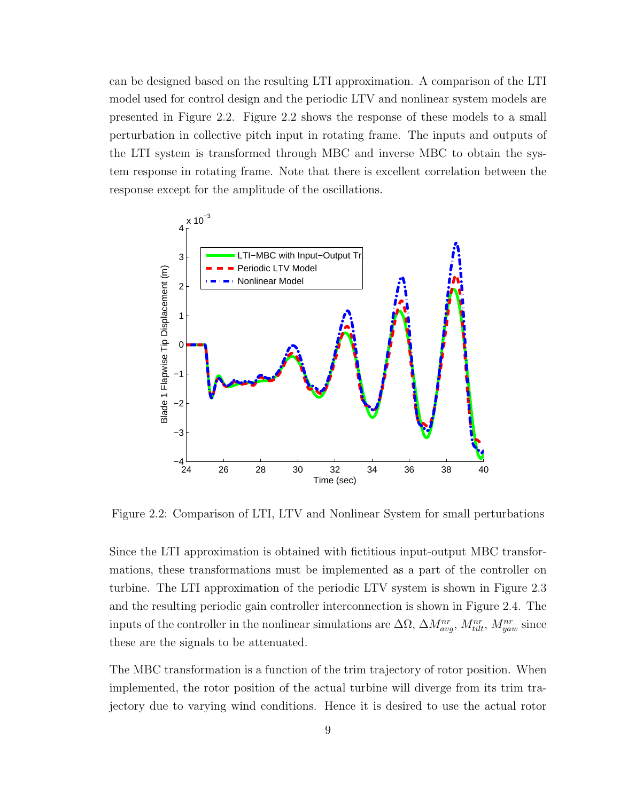can be designed based on the resulting LTI approximation. A comparison of the LTI model used for control design and the periodic LTV and nonlinear system models are presented in Figure 2.2. Figure 2.2 shows the response of these models to a small perturbation in collective pitch input in rotating frame. The inputs and outputs of the LTI system is transformed through MBC and inverse MBC to obtain the system response in rotating frame. Note that there is excellent correlation between the response except for the amplitude of the oscillations.



Figure 2.2: Comparison of LTI, LTV and Nonlinear System for small perturbations

Since the LTI approximation is obtained with fictitious input-output MBC transformations, these transformations must be implemented as a part of the controller on turbine. The LTI approximation of the periodic LTV system is shown in Figure 2.3 and the resulting periodic gain controller interconnection is shown in Figure 2.4. The inputs of the controller in the nonlinear simulations are  $\Delta \Omega$ ,  $\Delta M_{avg}^{nr}$ ,  $M_{tilt}^{nr}$ ,  $M_{yaw}^{nr}$  since these are the signals to be attenuated.

The MBC transformation is a function of the trim trajectory of rotor position. When implemented, the rotor position of the actual turbine will diverge from its trim trajectory due to varying wind conditions. Hence it is desired to use the actual rotor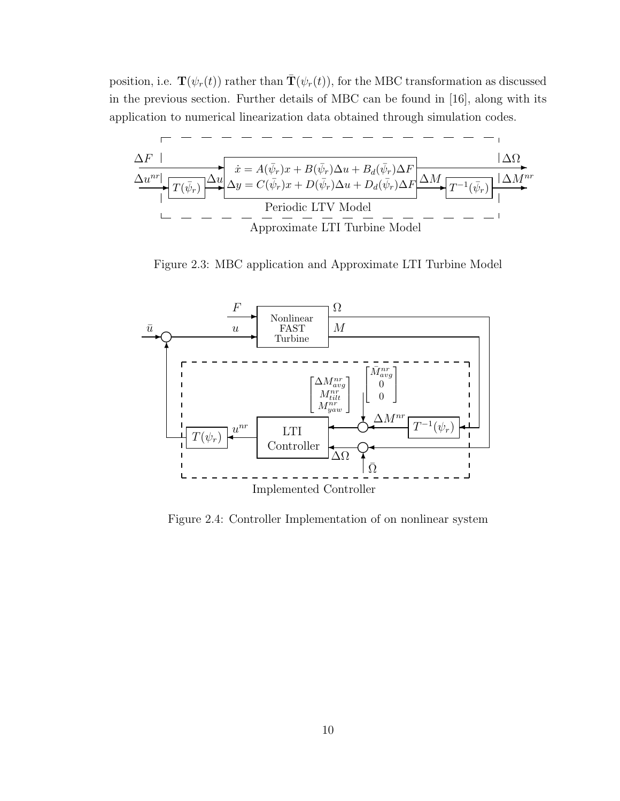position, i.e.  $\mathbf{T}(\psi_r(t))$  rather than  $\mathbf{T}(\psi_r(t))$ , for the MBC transformation as discussed in the previous section. Further details of MBC can be found in [16], along with its application to numerical linearization data obtained through simulation codes.



Figure 2.3: MBC application and Approximate LTI Turbine Model



Figure 2.4: Controller Implementation of on nonlinear system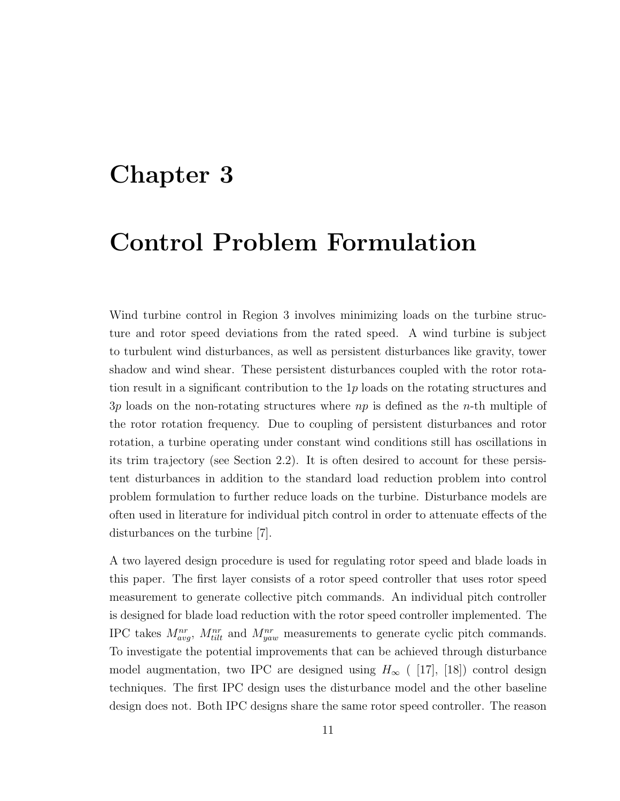### **Chapter 3**

### **Control Problem Formulation**

Wind turbine control in Region 3 involves minimizing loads on the turbine structure and rotor speed deviations from the rated speed. A wind turbine is subject to turbulent wind disturbances, as well as persistent disturbances like gravity, tower shadow and wind shear. These persistent disturbances coupled with the rotor rotation result in a significant contribution to the 1*p* loads on the rotating structures and 3*p* loads on the non-rotating structures where *np* is defined as the *n*-th multiple of the rotor rotation frequency. Due to coupling of persistent disturbances and rotor rotation, a turbine operating under constant wind conditions still has oscillations in its trim trajectory (see Section 2.2). It is often desired to account for these persistent disturbances in addition to the standard load reduction problem into control problem formulation to further reduce loads on the turbine. Disturbance models are often used in literature for individual pitch control in order to attenuate effects of the disturbances on the turbine [7].

A two layered design procedure is used for regulating rotor speed and blade loads in this paper. The first layer consists of a rotor speed controller that uses rotor speed measurement to generate collective pitch commands. An individual pitch controller is designed for blade load reduction with the rotor speed controller implemented. The IPC takes  $M_{avg}^{nr}$ ,  $M_{tilt}^{nr}$  and  $M_{yaw}^{nr}$  measurements to generate cyclic pitch commands. To investigate the potential improvements that can be achieved through disturbance model augmentation, two IPC are designed using  $H_{\infty}$  ( [17], [18]) control design techniques. The first IPC design uses the disturbance model and the other baseline design does not. Both IPC designs share the same rotor speed controller. The reason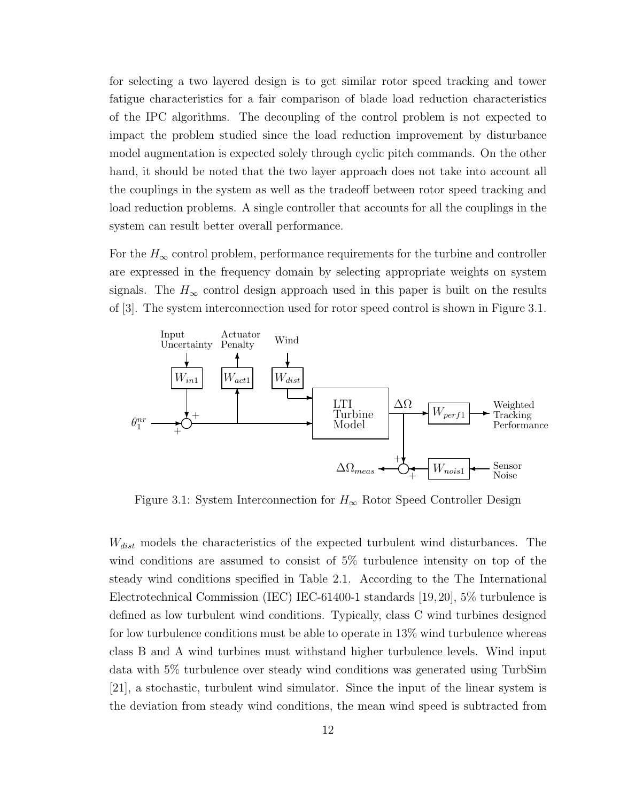for selecting a two layered design is to get similar rotor speed tracking and tower fatigue characteristics for a fair comparison of blade load reduction characteristics of the IPC algorithms. The decoupling of the control problem is not expected to impact the problem studied since the load reduction improvement by disturbance model augmentation is expected solely through cyclic pitch commands. On the other hand, it should be noted that the two layer approach does not take into account all the couplings in the system as well as the tradeoff between rotor speed tracking and load reduction problems. A single controller that accounts for all the couplings in the system can result better overall performance.

For the  $H_{\infty}$  control problem, performance requirements for the turbine and controller are expressed in the frequency domain by selecting appropriate weights on system signals. The  $H_{\infty}$  control design approach used in this paper is built on the results of [3]. The system interconnection used for rotor speed control is shown in Figure 3.1.



Figure 3.1: System Interconnection for  $H_{\infty}$  Rotor Speed Controller Design

*Wdist* models the characteristics of the expected turbulent wind disturbances. The wind conditions are assumed to consist of 5% turbulence intensity on top of the steady wind conditions specified in Table 2.1. According to the The International Electrotechnical Commission (IEC) IEC-61400-1 standards [19,20], 5% turbulence is defined as low turbulent wind conditions. Typically, class C wind turbines designed for low turbulence conditions must be able to operate in 13% wind turbulence whereas class B and A wind turbines must withstand higher turbulence levels. Wind input data with 5% turbulence over steady wind conditions was generated using TurbSim [21], a stochastic, turbulent wind simulator. Since the input of the linear system is the deviation from steady wind conditions, the mean wind speed is subtracted from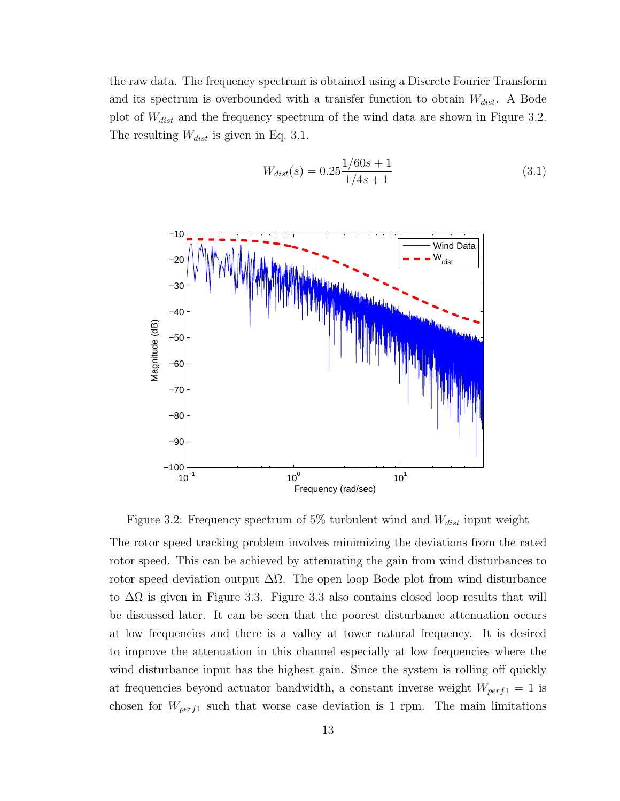the raw data. The frequency spectrum is obtained using a Discrete Fourier Transform and its spectrum is overbounded with a transfer function to obtain *Wdist*. A Bode plot of *Wdist* and the frequency spectrum of the wind data are shown in Figure 3.2. The resulting *Wdist* is given in Eq. 3.1.

$$
W_{dist}(s) = 0.25 \frac{1/60s + 1}{1/4s + 1}
$$
\n(3.1)



Figure 3.2: Frequency spectrum of 5% turbulent wind and *Wdist* input weight

The rotor speed tracking problem involves minimizing the deviations from the rated rotor speed. This can be achieved by attenuating the gain from wind disturbances to rotor speed deviation output  $\Delta\Omega$ . The open loop Bode plot from wind disturbance to  $\Delta\Omega$  is given in Figure 3.3. Figure 3.3 also contains closed loop results that will be discussed later. It can be seen that the poorest disturbance attenuation occurs at low frequencies and there is a valley at tower natural frequency. It is desired to improve the attenuation in this channel especially at low frequencies where the wind disturbance input has the highest gain. Since the system is rolling off quickly at frequencies beyond actuator bandwidth, a constant inverse weight *Wperf*<sup>1</sup> = 1 is chosen for *Wperf*<sup>1</sup> such that worse case deviation is 1 rpm. The main limitations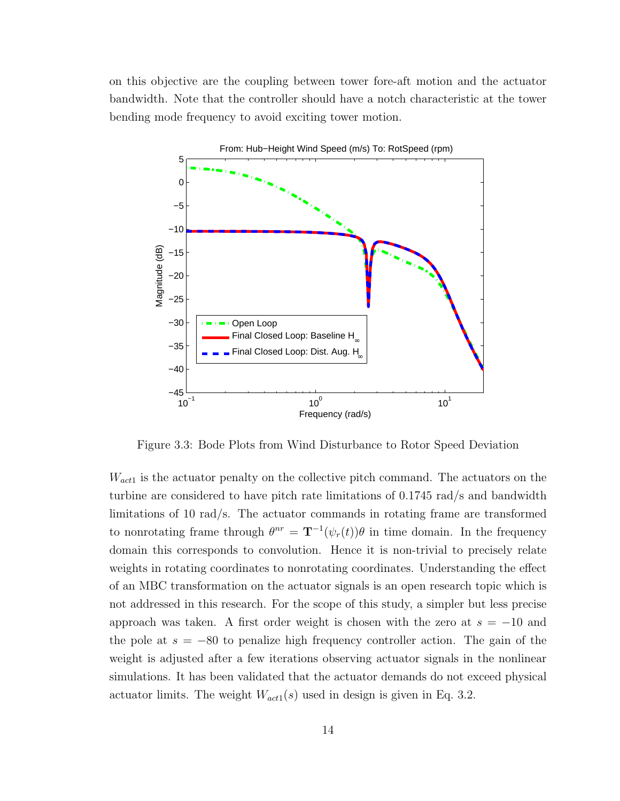on this objective are the coupling between tower fore-aft motion and the actuator bandwidth. Note that the controller should have a notch characteristic at the tower bending mode frequency to avoid exciting tower motion.



Figure 3.3: Bode Plots from Wind Disturbance to Rotor Speed Deviation

*Wact*<sup>1</sup> is the actuator penalty on the collective pitch command. The actuators on the turbine are considered to have pitch rate limitations of 0.1745 rad/s and bandwidth limitations of 10 rad/s. The actuator commands in rotating frame are transformed to nonrotating frame through  $\theta^{nr} = \mathbf{T}^{-1}(\psi_r(t))\theta$  in time domain. In the frequency domain this corresponds to convolution. Hence it is non-trivial to precisely relate weights in rotating coordinates to nonrotating coordinates. Understanding the effect of an MBC transformation on the actuator signals is an open research topic which is not addressed in this research. For the scope of this study, a simpler but less precise approach was taken. A first order weight is chosen with the zero at *s* = *−*10 and the pole at *s* = *−*80 to penalize high frequency controller action. The gain of the weight is adjusted after a few iterations observing actuator signals in the nonlinear simulations. It has been validated that the actuator demands do not exceed physical actuator limits. The weight  $W_{act1}(s)$  used in design is given in Eq. 3.2.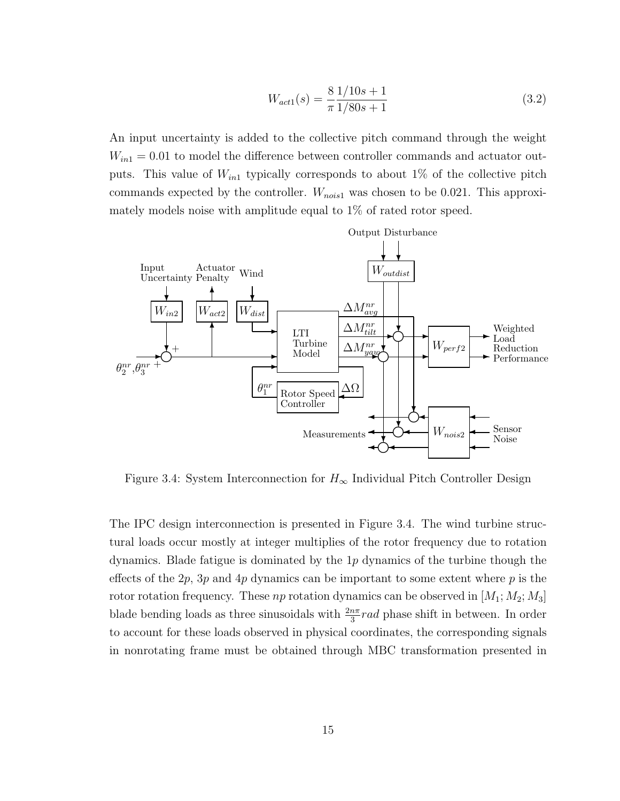$$
W_{act1}(s) = \frac{8}{\pi} \frac{1/10s + 1}{1/80s + 1}
$$
\n(3.2)

An input uncertainty is added to the collective pitch command through the weight  $W_{in1} = 0.01$  to model the difference between controller commands and actuator outputs. This value of *Win*<sup>1</sup> typically corresponds to about 1% of the collective pitch commands expected by the controller. *Wnois*<sup>1</sup> was chosen to be 0.021. This approximately models noise with amplitude equal to 1% of rated rotor speed.



Figure 3.4: System Interconnection for  $H_{\infty}$  Individual Pitch Controller Design

The IPC design interconnection is presented in Figure 3.4. The wind turbine structural loads occur mostly at integer multiplies of the rotor frequency due to rotation dynamics. Blade fatigue is dominated by the 1*p* dynamics of the turbine though the effects of the 2*p*, 3*p* and 4*p* dynamics can be important to some extent where *p* is the rotor rotation frequency. These *np* rotation dynamics can be observed in [*M*1; *M*2; *M*3] blade bending loads as three sinusoidals with  $\frac{2n\pi}{3}$  *rad* phase shift in between. In order to account for these loads observed in physical coordinates, the corresponding signals in nonrotating frame must be obtained through MBC transformation presented in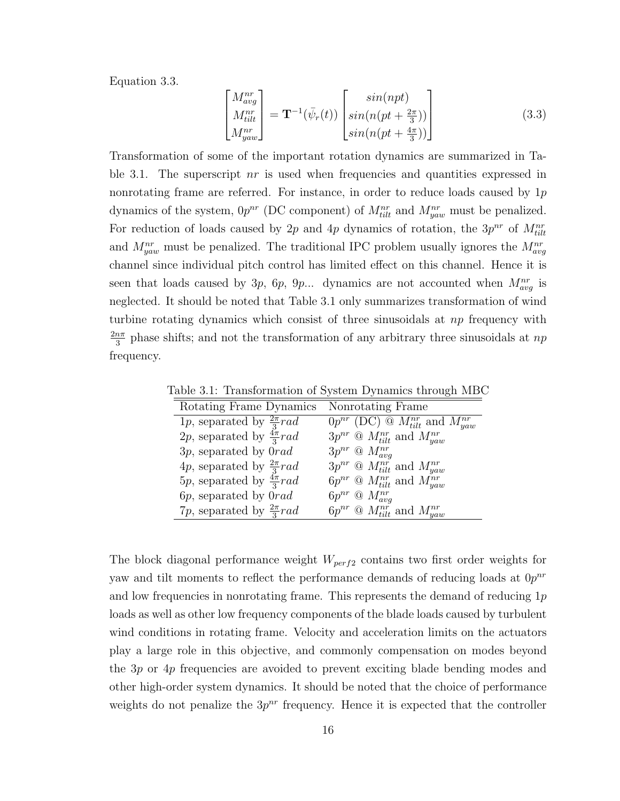Equation 3.3.

$$
\begin{bmatrix}\nM_{avg}^{nr} \\
M_{tilt}^{nr} \\
M_{yaw}^{nr}\n\end{bmatrix} = \mathbf{T}^{-1}(\bar{\psi}_r(t)) \begin{bmatrix}\nsin(npt) \\
sin(n(pt + \frac{2\pi}{3})) \\
sin(n(pt + \frac{4\pi}{3}))\n\end{bmatrix}
$$
\n(3.3)

Transformation of some of the important rotation dynamics are summarized in Table 3.1. The superscript *nr* is used when frequencies and quantities expressed in nonrotating frame are referred. For instance, in order to reduce loads caused by 1*p* dynamics of the system,  $0p^{nr}$  (DC component) of  $M_{tilt}^{nr}$  and  $M_{yaw}^{nr}$  must be penalized. For reduction of loads caused by 2*p* and 4*p* dynamics of rotation, the  $3p^{nr}$  of  $M_{tilt}^{nr}$ and  $M_{yaw}^{nr}$  must be penalized. The traditional IPC problem usually ignores the  $M_{avg}^{nr}$ channel since individual pitch control has limited effect on this channel. Hence it is seen that loads caused by 3*p*, 6*p*, 9*p*... dynamics are not accounted when  $M_{avg}^{nr}$  is neglected. It should be noted that Table 3.1 only summarizes transformation of wind turbine rotating dynamics which consist of three sinusoidals at *np* frequency with 2*nπ*  $\frac{n\pi}{3}$  phase shifts; and not the transformation of any arbitrary three sinusoidals at  $np$ frequency.

Table 3.1: Transformation of System Dynamics through MBC

| Rotating Frame Dynamics                | Nonrotating Frame                                                           |
|----------------------------------------|-----------------------------------------------------------------------------|
| 1p, separated by $\frac{2\pi}{3} rad$  | $\overline{0}p^{nr}$ (DC) $\circledcirc$ $M^{nr}_{tilt}$ and $M^{nr}_{yaw}$ |
| 2p, separated by $\frac{4\pi}{3} rad$  | $3p^{nr}$ @ $M_{tilt}^{nr}$ and $M_{yaw}^{nr}$                              |
| $3p$ , separated by $0rad$             | $3p^{nr}$ $\mathcal{O}$ $M_{ava}^{nr}$                                      |
| 4p, separated by $\frac{2\pi}{3} rad$  | $3p^{nr}$ @ $M_{tilt}^{nr}$ and $M_{yaw}^{nr}$                              |
| 5p, separated by $\frac{4\pi}{3} rad$  | $6p^{nr}$ @ $M_{tilt}^{nr}$ and $M_{yaw}^{nr}$                              |
| 6 <i>p</i> , separated by 0 <i>rad</i> | $6p^{nr}$ $\Omega$ $M_{avg}^{nr}$                                           |
| 7p, separated by $\frac{2\pi}{3} rad$  | $6p^{nr}$ @ $M_{tilt}^{nr}$ and $M_{yaw}^{nr}$                              |

The block diagonal performance weight *Wperf*<sup>2</sup> contains two first order weights for yaw and tilt moments to reflect the performance demands of reducing loads at 0*p nr* and low frequencies in nonrotating frame. This represents the demand of reducing 1*p* loads as well as other low frequency components of the blade loads caused by turbulent wind conditions in rotating frame. Velocity and acceleration limits on the actuators play a large role in this objective, and commonly compensation on modes beyond the 3*p* or 4*p* frequencies are avoided to prevent exciting blade bending modes and other high-order system dynamics. It should be noted that the choice of performance weights do not penalize the  $3p^{nr}$  frequency. Hence it is expected that the controller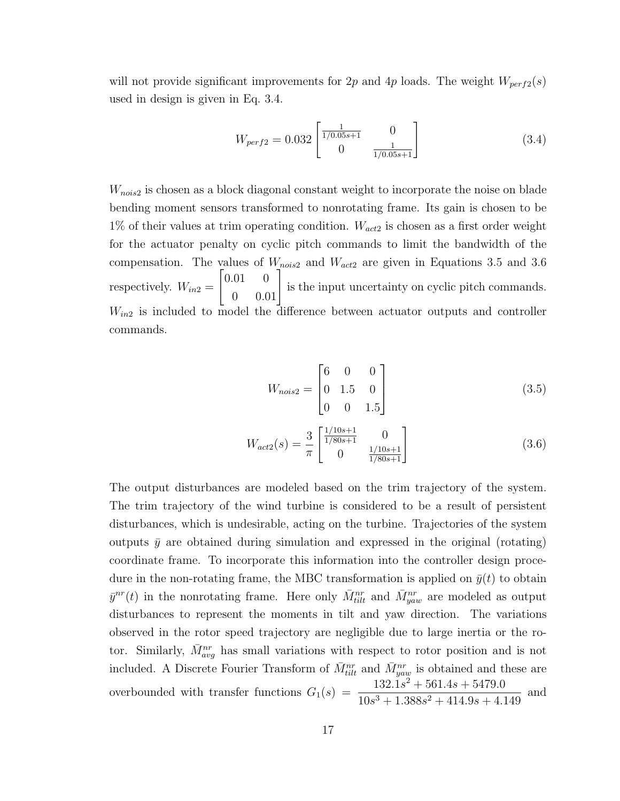will not provide significant improvements for 2p and 4p loads. The weight  $W_{perf2}(s)$ used in design is given in Eq. 3.4.

$$
W_{perf2} = 0.032 \begin{bmatrix} \frac{1}{1/0.05s + 1} & 0\\ 0 & \frac{1}{1/0.05s + 1} \end{bmatrix}
$$
 (3.4)

*Wnois*<sup>2</sup> is chosen as a block diagonal constant weight to incorporate the noise on blade bending moment sensors transformed to nonrotating frame. Its gain is chosen to be 1% of their values at trim operating condition. *Wact*<sup>2</sup> is chosen as a first order weight for the actuator penalty on cyclic pitch commands to limit the bandwidth of the compensation. The values of *Wnois*<sup>2</sup> and *Wact*<sup>2</sup> are given in Equations 3.5 and 3.6 respectively.  $W_{in2} =$  $\begin{bmatrix} 0.01 & 0 \\ 0 & 0.01 \end{bmatrix}$ is the input uncertainty on cyclic pitch commands. *Win*<sup>2</sup> is included to model the difference between actuator outputs and controller commands.

$$
W_{nois2} = \begin{bmatrix} 6 & 0 & 0 \\ 0 & 1.5 & 0 \\ 0 & 0 & 1.5 \end{bmatrix}
$$
 (3.5)

$$
W_{act2}(s) = \frac{3}{\pi} \begin{bmatrix} \frac{1/10s+1}{1/80s+1} & 0\\ 0 & \frac{1/10s+1}{1/80s+1} \end{bmatrix}
$$
(3.6)

The output disturbances are modeled based on the trim trajectory of the system. The trim trajectory of the wind turbine is considered to be a result of persistent disturbances, which is undesirable, acting on the turbine. Trajectories of the system outputs  $\bar{y}$  are obtained during simulation and expressed in the original (rotating) coordinate frame. To incorporate this information into the controller design procedure in the non-rotating frame, the MBC transformation is applied on  $\bar{y}(t)$  to obtain  $\bar{y}^{nr}(t)$  in the nonrotating frame. Here only  $\bar{M}^{nr}_{tilt}$  and  $\bar{M}^{nr}_{yaw}$  are modeled as output disturbances to represent the moments in tilt and yaw direction. The variations observed in the rotor speed trajectory are negligible due to large inertia or the rotor. Similarly,  $\bar{M}_{avg}^{nr}$  has small variations with respect to rotor position and is not included. A Discrete Fourier Transform of  $\bar{M}^{nr}_{tilt}$  and  $\bar{M}^{nr}_{yaw}$  is obtained and these are overbounded with transfer functions  $G_1(s) = \frac{132.1s^2 + 561.4s + 5479.0}{10s^3 + 1388s^2 + 414.0s + 4.1}$  $\frac{102.15 + 0.91.15 + 0.113.08}{10s^3 + 1.388s^2 + 414.9s + 4.149}$  and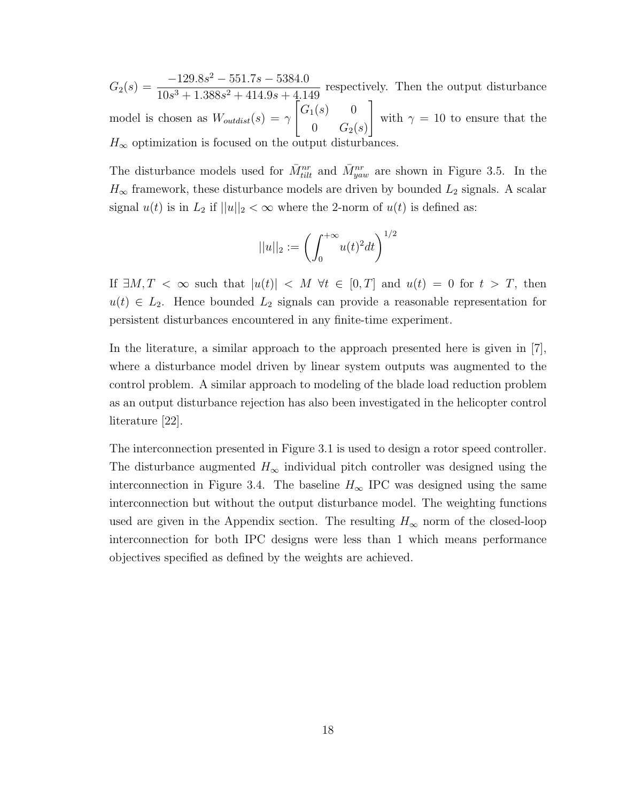$G_2(s) = \frac{-129.8s^2 - 551.7s - 5384.0}{10^{-3} + 1.388s^2 + 414.05 + 4.1}$  $\frac{128.68}{10s^3 + 1.388s^2 + 414.9s + 4.149}$  respectively. Then the output disturbance model is chosen as  $W_{outdist}(s) = \gamma$  $\begin{bmatrix} G_1(s) & 0 \end{bmatrix}$  $0 \t G_2(s)$ ] with  $\gamma = 10$  to ensure that the  $H_{\infty}$  optimization is focused on the output disturbances.

The disturbance models used for  $\bar{M}^{nr}_{tilt}$  and  $\bar{M}^{nr}_{yaw}$  are shown in Figure 3.5. In the  $H_{\infty}$  framework, these disturbance models are driven by bounded  $L_2$  signals. A scalar signal  $u(t)$  is in  $L_2$  if  $||u||_2 < \infty$  where the 2-norm of  $u(t)$  is defined as:

$$
||u||_2 := \left(\int_0^{+\infty} u(t)^2 dt\right)^{1/2}
$$

If  $\exists M, T \leq \infty$  such that  $|u(t)| \leq M \forall t \in [0, T]$  and  $u(t) = 0$  for  $t > T$ , then  $u(t) \in L_2$ . Hence bounded  $L_2$  signals can provide a reasonable representation for persistent disturbances encountered in any finite-time experiment.

In the literature, a similar approach to the approach presented here is given in [7], where a disturbance model driven by linear system outputs was augmented to the control problem. A similar approach to modeling of the blade load reduction problem as an output disturbance rejection has also been investigated in the helicopter control literature [22].

The interconnection presented in Figure 3.1 is used to design a rotor speed controller. The disturbance augmented  $H_{\infty}$  individual pitch controller was designed using the interconnection in Figure 3.4. The baseline  $H_{\infty}$  IPC was designed using the same interconnection but without the output disturbance model. The weighting functions used are given in the Appendix section. The resulting  $H_{\infty}$  norm of the closed-loop interconnection for both IPC designs were less than 1 which means performance objectives specified as defined by the weights are achieved.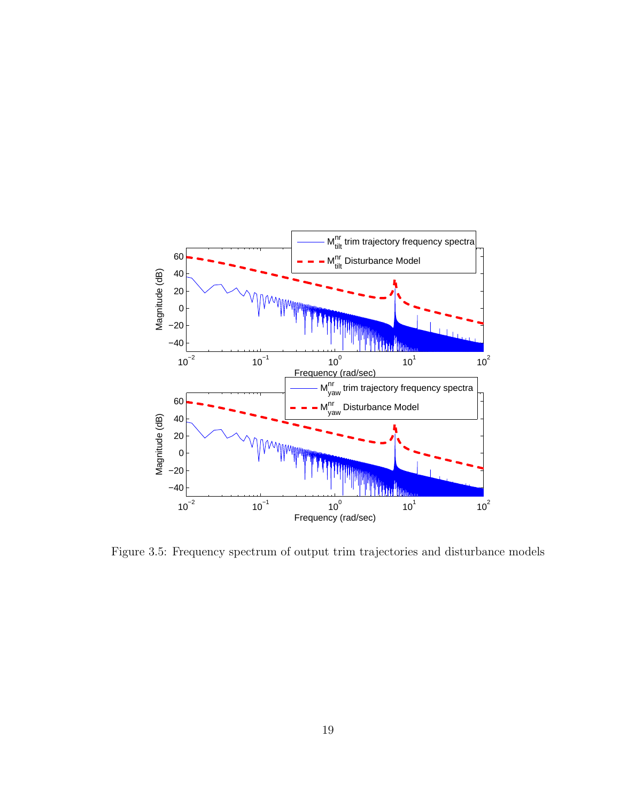

Figure 3.5: Frequency spectrum of output trim trajectories and disturbance models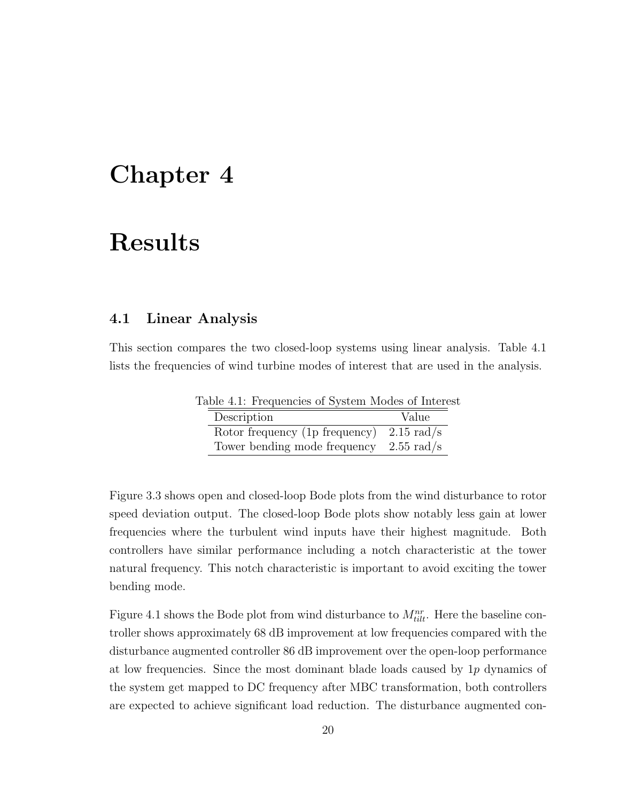#### **Chapter 4**

#### **Results**

bending mode.

#### **4.1 Linear Analysis**

This section compares the two closed-loop systems using linear analysis. Table 4.1 lists the frequencies of wind turbine modes of interest that are used in the analysis.

Table 4.1: Frequencies of System Modes of Interest Description Value Rotor frequency (1p frequency) 2.15 rad/s Tower bending mode frequency 2.55 rad/s

Figure 3.3 shows open and closed-loop Bode plots from the wind disturbance to rotor speed deviation output. The closed-loop Bode plots show notably less gain at lower frequencies where the turbulent wind inputs have their highest magnitude. Both controllers have similar performance including a notch characteristic at the tower natural frequency. This notch characteristic is important to avoid exciting the tower

Figure 4.1 shows the Bode plot from wind disturbance to  $M_{tilt}^{nr}$ . Here the baseline controller shows approximately 68 dB improvement at low frequencies compared with the disturbance augmented controller 86 dB improvement over the open-loop performance at low frequencies. Since the most dominant blade loads caused by 1*p* dynamics of the system get mapped to DC frequency after MBC transformation, both controllers are expected to achieve significant load reduction. The disturbance augmented con-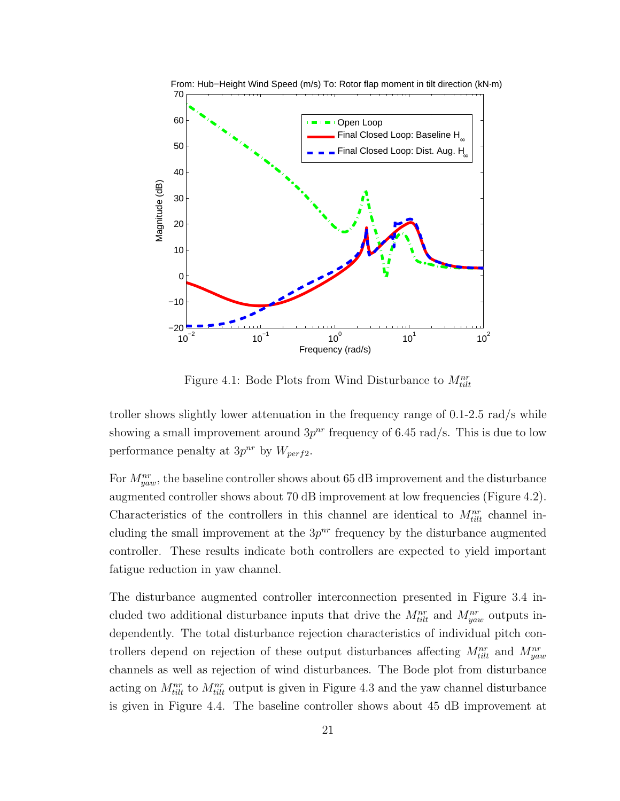

Figure 4.1: Bode Plots from Wind Disturbance to  $M_{tilt}^{nr}$ 

troller shows slightly lower attenuation in the frequency range of 0.1-2.5 rad/s while showing a small improvement around  $3p^{nr}$  frequency of 6.45 rad/s. This is due to low performance penalty at  $3p^{nr}$  by  $W_{perf2}$ .

For  $M_{yaw}^{nr}$ , the baseline controller shows about 65 dB improvement and the disturbance augmented controller shows about 70 dB improvement at low frequencies (Figure 4.2). Characteristics of the controllers in this channel are identical to  $M_{tilt}^{nr}$  channel including the small improvement at the  $3p^{nr}$  frequency by the disturbance augmented controller. These results indicate both controllers are expected to yield important fatigue reduction in yaw channel.

The disturbance augmented controller interconnection presented in Figure 3.4 included two additional disturbance inputs that drive the  $M_{tilt}^{nr}$  and  $M_{yaw}^{nr}$  outputs independently. The total disturbance rejection characteristics of individual pitch controllers depend on rejection of these output disturbances affecting  $M_{tilt}^{nr}$  and  $M_{yaw}^{nr}$ channels as well as rejection of wind disturbances. The Bode plot from disturbance acting on  $M_{tilt}^{nr}$  to  $M_{tilt}^{nr}$  output is given in Figure 4.3 and the yaw channel disturbance is given in Figure 4.4. The baseline controller shows about 45 dB improvement at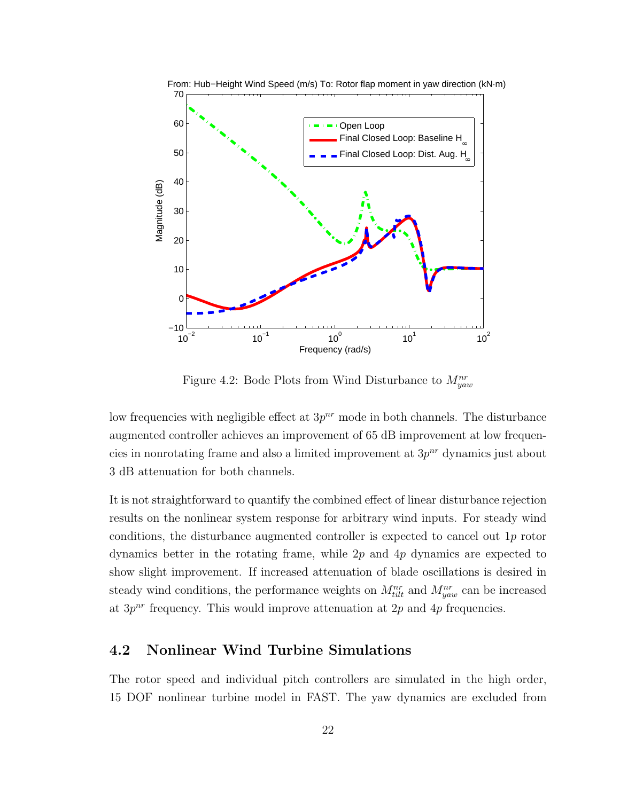

Figure 4.2: Bode Plots from Wind Disturbance to *Mnr yaw*

low frequencies with negligible effect at  $3p^{nr}$  mode in both channels. The disturbance augmented controller achieves an improvement of 65 dB improvement at low frequencies in nonrotating frame and also a limited improvement at  $3p^{nr}$  dynamics just about 3 dB attenuation for both channels.

It is not straightforward to quantify the combined effect of linear disturbance rejection results on the nonlinear system response for arbitrary wind inputs. For steady wind conditions, the disturbance augmented controller is expected to cancel out 1*p* rotor dynamics better in the rotating frame, while 2*p* and 4*p* dynamics are expected to show slight improvement. If increased attenuation of blade oscillations is desired in steady wind conditions, the performance weights on  $M_{tilt}^{nr}$  and  $M_{yaw}^{nr}$  can be increased at  $3p^{nr}$  frequency. This would improve attenuation at  $2p$  and  $4p$  frequencies.

#### **4.2 Nonlinear Wind Turbine Simulations**

The rotor speed and individual pitch controllers are simulated in the high order, 15 DOF nonlinear turbine model in FAST. The yaw dynamics are excluded from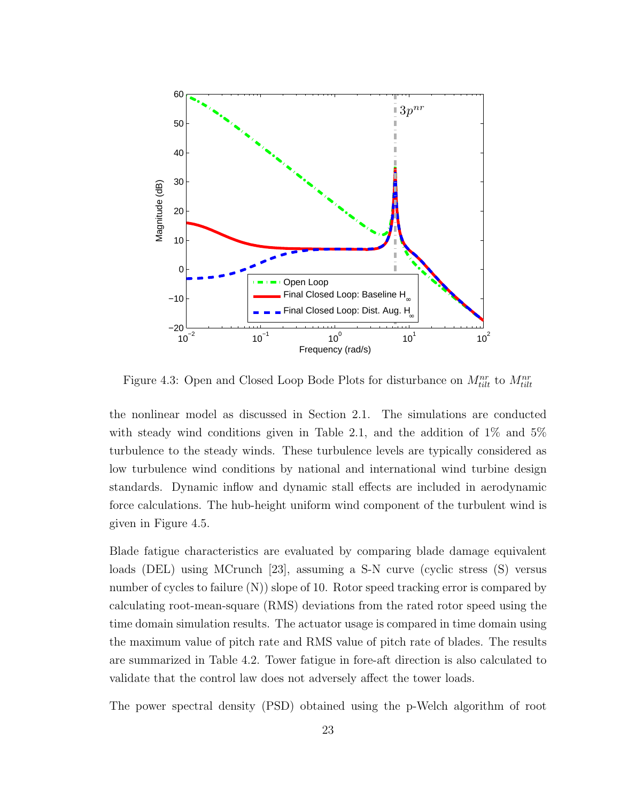

Figure 4.3: Open and Closed Loop Bode Plots for disturbance on  $M_{tilt}^{nr}$  to  $M_{tilt}^{nr}$ 

the nonlinear model as discussed in Section 2.1. The simulations are conducted with steady wind conditions given in Table 2.1, and the addition of  $1\%$  and  $5\%$ turbulence to the steady winds. These turbulence levels are typically considered as low turbulence wind conditions by national and international wind turbine design standards. Dynamic inflow and dynamic stall effects are included in aerodynamic force calculations. The hub-height uniform wind component of the turbulent wind is given in Figure 4.5.

Blade fatigue characteristics are evaluated by comparing blade damage equivalent loads (DEL) using MCrunch [23], assuming a S-N curve (cyclic stress (S) versus number of cycles to failure  $(N)$ ) slope of 10. Rotor speed tracking error is compared by calculating root-mean-square (RMS) deviations from the rated rotor speed using the time domain simulation results. The actuator usage is compared in time domain using the maximum value of pitch rate and RMS value of pitch rate of blades. The results are summarized in Table 4.2. Tower fatigue in fore-aft direction is also calculated to validate that the control law does not adversely affect the tower loads.

The power spectral density (PSD) obtained using the p-Welch algorithm of root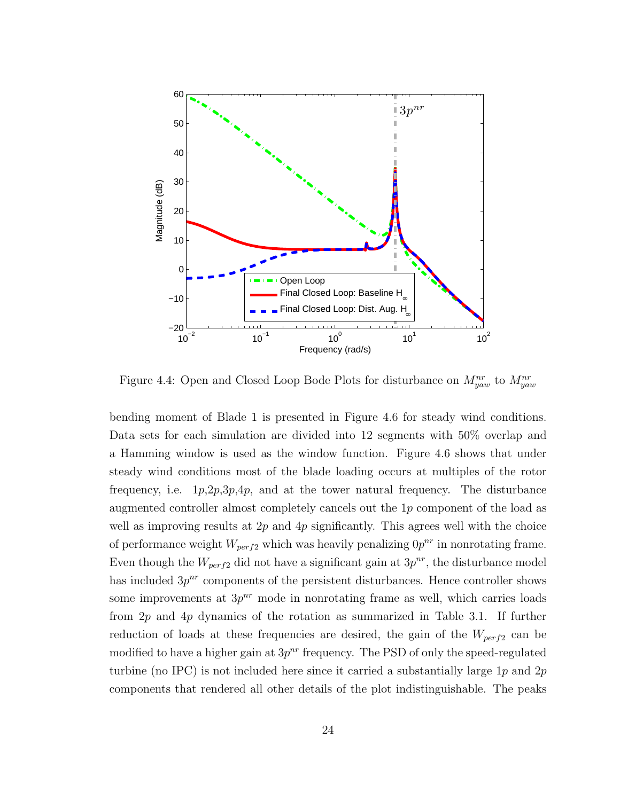

Figure 4.4: Open and Closed Loop Bode Plots for disturbance on *Mnr yaw* to *Mnr yaw*

bending moment of Blade 1 is presented in Figure 4.6 for steady wind conditions. Data sets for each simulation are divided into 12 segments with 50% overlap and a Hamming window is used as the window function. Figure 4.6 shows that under steady wind conditions most of the blade loading occurs at multiples of the rotor frequency, i.e. 1*p*,2*p*,3*p*,4*p*, and at the tower natural frequency. The disturbance augmented controller almost completely cancels out the 1*p* component of the load as well as improving results at 2*p* and 4*p* significantly. This agrees well with the choice of performance weight  $W_{perf2}$  which was heavily penalizing  $0p^{nr}$  in nonrotating frame. Even though the  $W_{perf2}$  did not have a significant gain at  $3p^{nr}$ , the disturbance model has included  $3p^{nr}$  components of the persistent disturbances. Hence controller shows some improvements at  $3p^{nr}$  mode in nonrotating frame as well, which carries loads from 2*p* and 4*p* dynamics of the rotation as summarized in Table 3.1. If further reduction of loads at these frequencies are desired, the gain of the *Wperf*<sup>2</sup> can be modified to have a higher gain at  $3p^{nr}$  frequency. The PSD of only the speed-regulated turbine (no IPC) is not included here since it carried a substantially large 1*p* and 2*p* components that rendered all other details of the plot indistinguishable. The peaks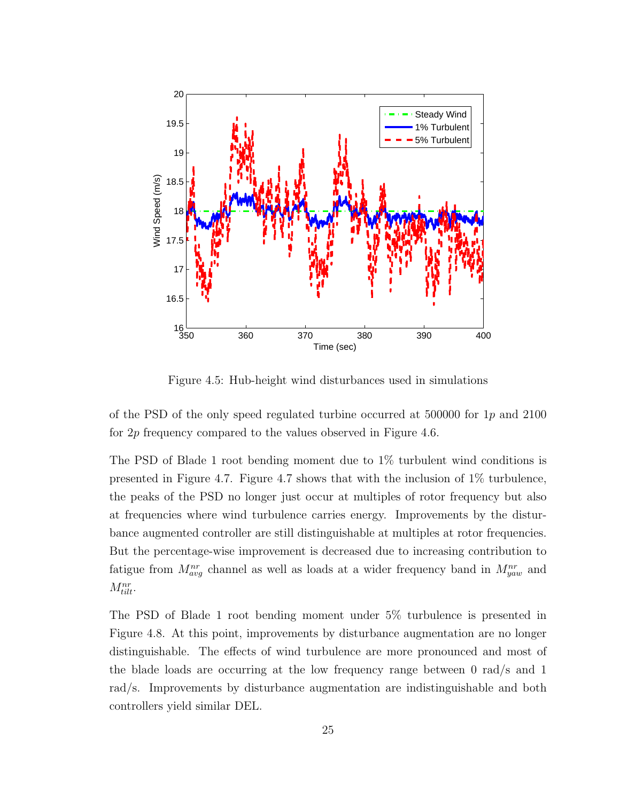

Figure 4.5: Hub-height wind disturbances used in simulations

of the PSD of the only speed regulated turbine occurred at 500000 for 1*p* and 2100 for 2*p* frequency compared to the values observed in Figure 4.6.

The PSD of Blade 1 root bending moment due to 1% turbulent wind conditions is presented in Figure 4.7. Figure 4.7 shows that with the inclusion of 1% turbulence, the peaks of the PSD no longer just occur at multiples of rotor frequency but also at frequencies where wind turbulence carries energy. Improvements by the disturbance augmented controller are still distinguishable at multiples at rotor frequencies. But the percentage-wise improvement is decreased due to increasing contribution to fatigue from  $M_{avg}^{nr}$  channel as well as loads at a wider frequency band in  $M_{yaw}^{nr}$  and *Mnr tilt*.

The PSD of Blade 1 root bending moment under 5% turbulence is presented in Figure 4.8. At this point, improvements by disturbance augmentation are no longer distinguishable. The effects of wind turbulence are more pronounced and most of the blade loads are occurring at the low frequency range between 0 rad/s and 1 rad/s. Improvements by disturbance augmentation are indistinguishable and both controllers yield similar DEL.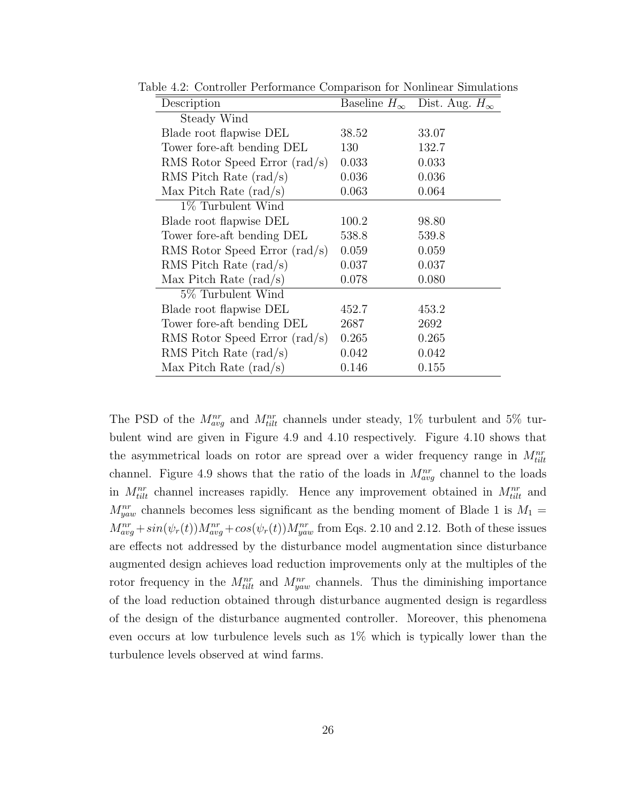| Description                            | Baseline $H_{\infty}$ | Dist. Aug. $H_{\infty}$ |
|----------------------------------------|-----------------------|-------------------------|
| Steady Wind                            |                       |                         |
| Blade root flapwise DEL                | 38.52                 | 33.07                   |
| Tower fore-aft bending DEL             | 130                   | 132.7                   |
| RMS Rotor Speed Error $\text{rad/s}$   | 0.033                 | 0.033                   |
| RMS Pitch Rate $\text{(rad/s)}$        | 0.036                 | 0.036                   |
| Max Pitch Rate $\text{(rad/s)}$        | 0.063                 | 0.064                   |
| $1\%$ Turbulent Wind                   |                       |                         |
| Blade root flapwise DEL                | 100.2                 | 98.80                   |
| Tower fore-aft bending DEL             | 538.8                 | 539.8                   |
| RMS Rotor Speed Error $\text{rad/s}$   | 0.059                 | 0.059                   |
| RMS Pitch Rate $\text{(rad/s)}$        | 0.037                 | 0.037                   |
| Max Pitch Rate $\text{(rad/s)}$        | 0.078                 | 0.080                   |
| 5\% Turbulent Wind                     |                       |                         |
| Blade root flapwise DEL                | 452.7                 | 453.2                   |
| Tower fore-aft bending DEL             | 2687                  | 2692                    |
| RMS Rotor Speed Error $(\text{rad/s})$ | 0.265                 | 0.265                   |
| RMS Pitch Rate $\text{(rad/s)}$        | 0.042                 | 0.042                   |
| Max Pitch Rate $(\text{rad/s})$        | 0.146                 | 0.155                   |

Table 4.2: Controller Performance Comparison for Nonlinear Simulations

The PSD of the  $M_{avg}^{nr}$  and  $M_{tilt}^{nr}$  channels under steady, 1% turbulent and 5% turbulent wind are given in Figure 4.9 and 4.10 respectively. Figure 4.10 shows that the asymmetrical loads on rotor are spread over a wider frequency range in  $M_{tilt}^{nr}$ channel. Figure 4.9 shows that the ratio of the loads in  $M_{avg}^{nr}$  channel to the loads in  $M_{tilt}^{nr}$  channel increases rapidly. Hence any improvement obtained in  $M_{tilt}^{nr}$  and  $M_{yaw}^{nr}$  channels becomes less significant as the bending moment of Blade 1 is  $M_1 =$  $M_{avg}^{nr} + sin(\psi_r(t))M_{avg}^{nr} + cos(\psi_r(t))M_{yaw}^{nr}$  from Eqs. 2.10 and 2.12. Both of these issues are effects not addressed by the disturbance model augmentation since disturbance augmented design achieves load reduction improvements only at the multiples of the rotor frequency in the  $M_{tilt}^{nr}$  and  $M_{yaw}^{nr}$  channels. Thus the diminishing importance of the load reduction obtained through disturbance augmented design is regardless of the design of the disturbance augmented controller. Moreover, this phenomena even occurs at low turbulence levels such as 1% which is typically lower than the turbulence levels observed at wind farms.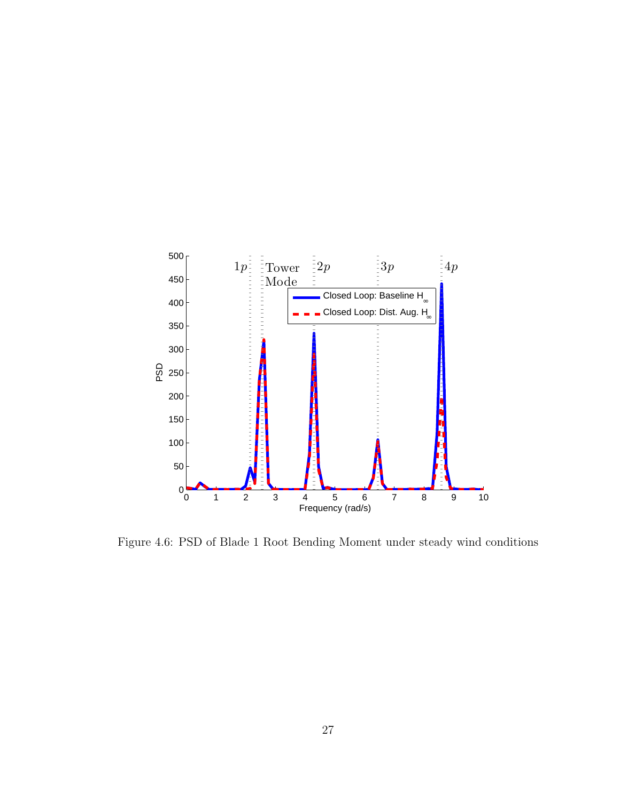

Figure 4.6: PSD of Blade 1 Root Bending Moment under steady wind conditions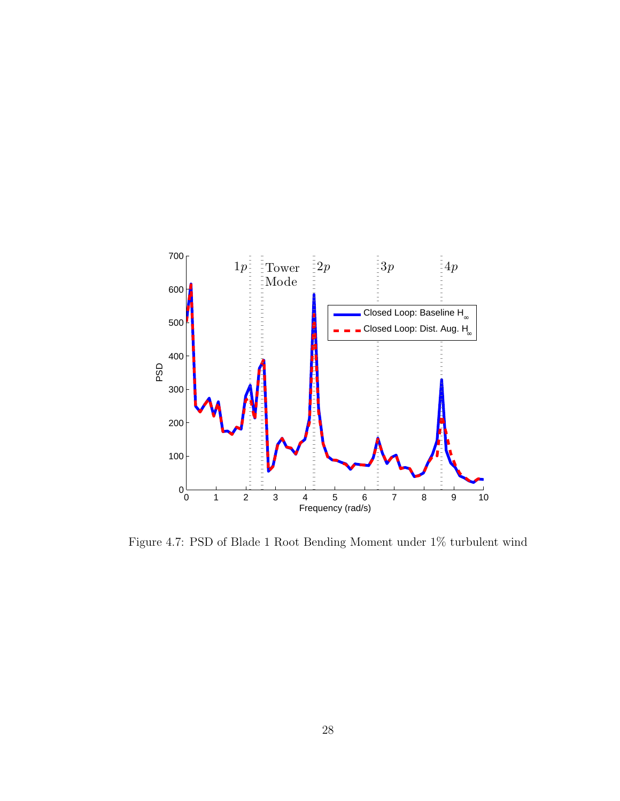

Figure 4.7: PSD of Blade 1 Root Bending Moment under 1% turbulent wind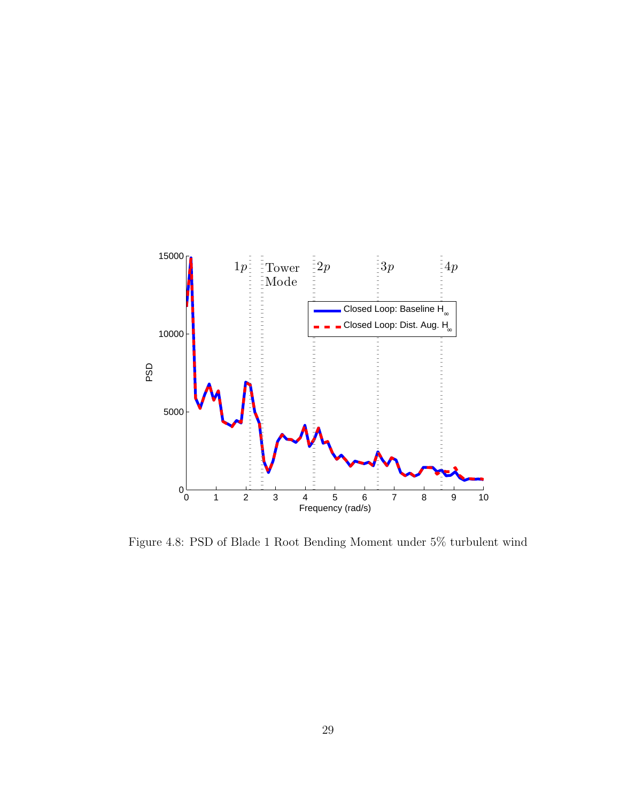

Figure 4.8: PSD of Blade 1 Root Bending Moment under 5% turbulent wind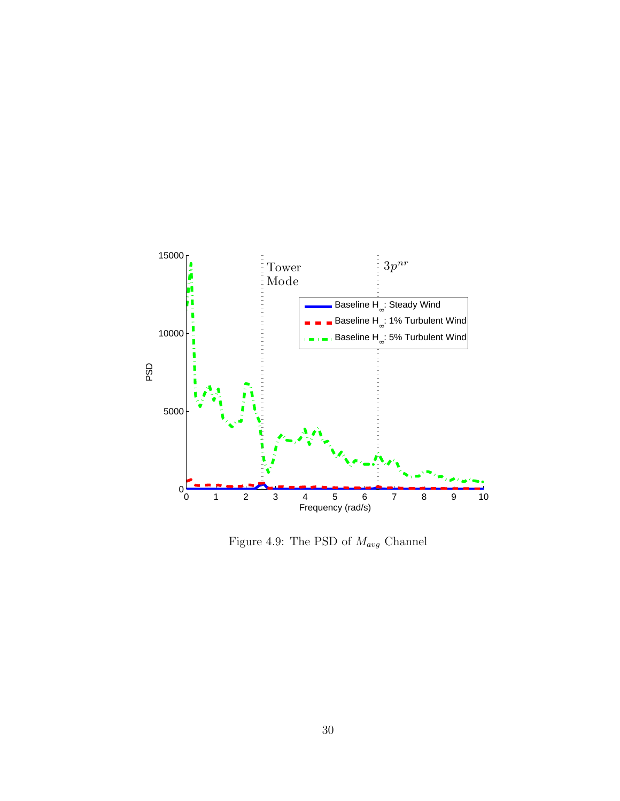

Figure 4.9: The PSD of *Mavg* Channel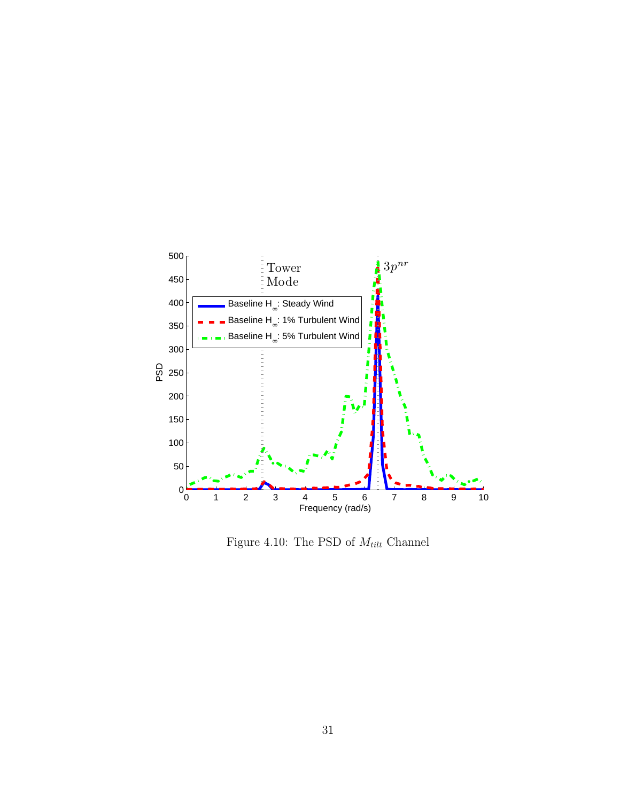

Figure 4.10: The PSD of  $M_{tilt}$  Channel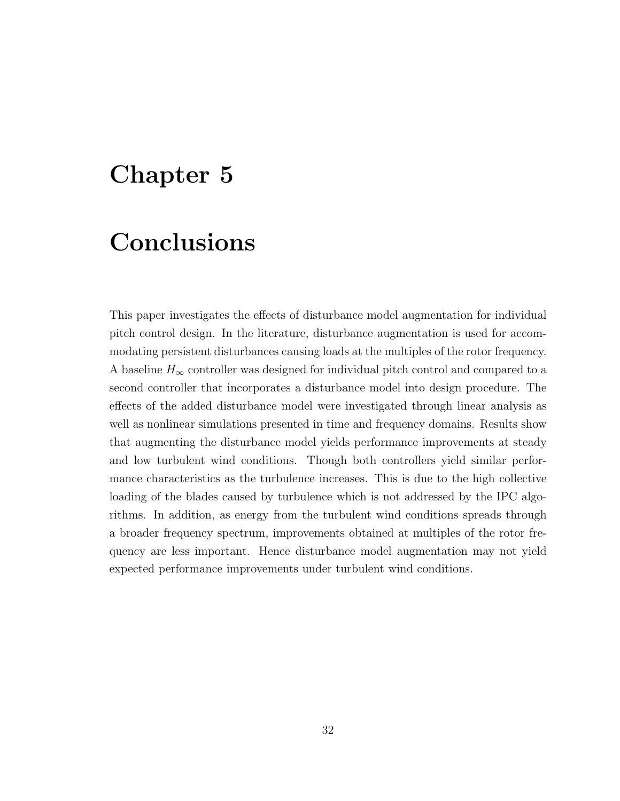### **Chapter 5**

### **Conclusions**

This paper investigates the effects of disturbance model augmentation for individual pitch control design. In the literature, disturbance augmentation is used for accommodating persistent disturbances causing loads at the multiples of the rotor frequency. A baseline  $H_{\infty}$  controller was designed for individual pitch control and compared to a second controller that incorporates a disturbance model into design procedure. The effects of the added disturbance model were investigated through linear analysis as well as nonlinear simulations presented in time and frequency domains. Results show that augmenting the disturbance model yields performance improvements at steady and low turbulent wind conditions. Though both controllers yield similar performance characteristics as the turbulence increases. This is due to the high collective loading of the blades caused by turbulence which is not addressed by the IPC algorithms. In addition, as energy from the turbulent wind conditions spreads through a broader frequency spectrum, improvements obtained at multiples of the rotor frequency are less important. Hence disturbance model augmentation may not yield expected performance improvements under turbulent wind conditions.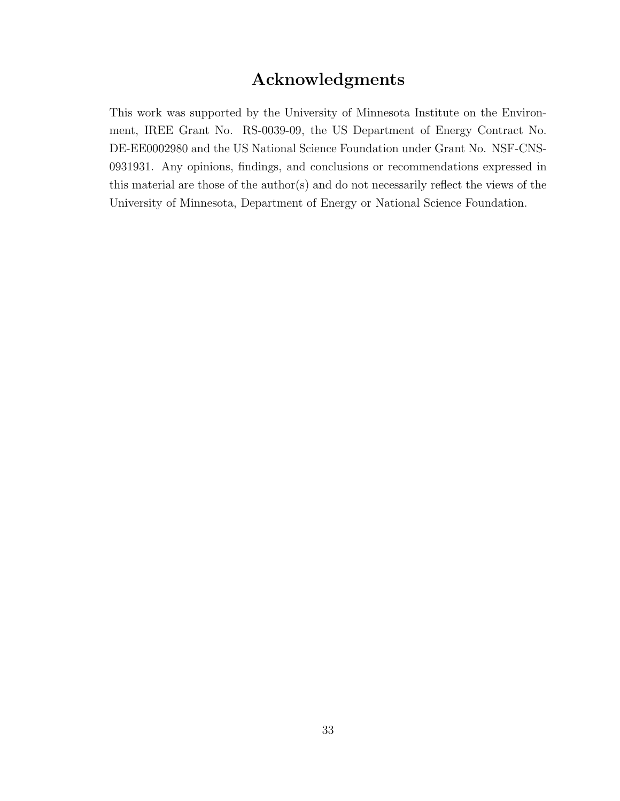#### **Acknowledgments**

This work was supported by the University of Minnesota Institute on the Environment, IREE Grant No. RS-0039-09, the US Department of Energy Contract No. DE-EE0002980 and the US National Science Foundation under Grant No. NSF-CNS-0931931. Any opinions, findings, and conclusions or recommendations expressed in this material are those of the author(s) and do not necessarily reflect the views of the University of Minnesota, Department of Energy or National Science Foundation.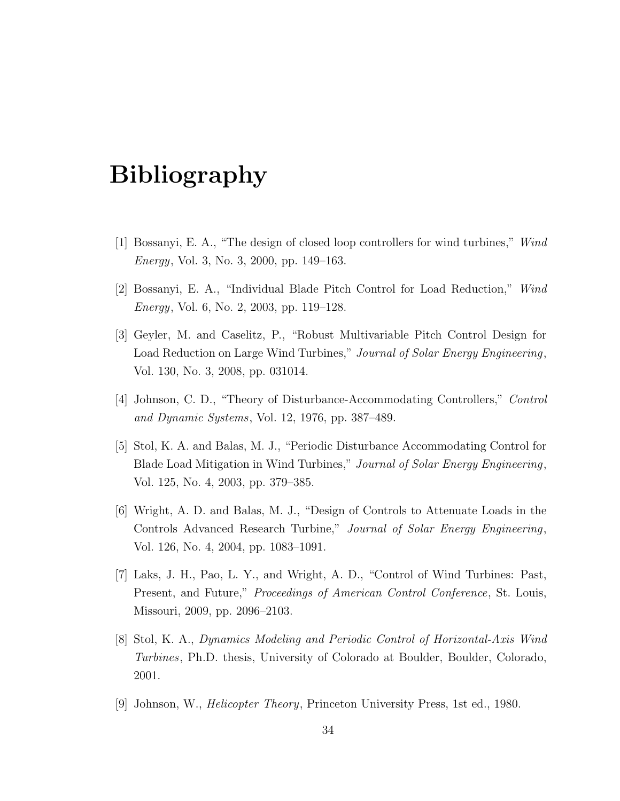## **Bibliography**

- [1] Bossanyi, E. A., "The design of closed loop controllers for wind turbines," *Wind Energy*, Vol. 3, No. 3, 2000, pp. 149–163.
- [2] Bossanyi, E. A., "Individual Blade Pitch Control for Load Reduction," *Wind Energy*, Vol. 6, No. 2, 2003, pp. 119–128.
- [3] Geyler, M. and Caselitz, P., "Robust Multivariable Pitch Control Design for Load Reduction on Large Wind Turbines," *Journal of Solar Energy Engineering*, Vol. 130, No. 3, 2008, pp. 031014.
- [4] Johnson, C. D., "Theory of Disturbance-Accommodating Controllers," *Control and Dynamic Systems*, Vol. 12, 1976, pp. 387–489.
- [5] Stol, K. A. and Balas, M. J., "Periodic Disturbance Accommodating Control for Blade Load Mitigation in Wind Turbines," *Journal of Solar Energy Engineering*, Vol. 125, No. 4, 2003, pp. 379–385.
- [6] Wright, A. D. and Balas, M. J., "Design of Controls to Attenuate Loads in the Controls Advanced Research Turbine," *Journal of Solar Energy Engineering*, Vol. 126, No. 4, 2004, pp. 1083–1091.
- [7] Laks, J. H., Pao, L. Y., and Wright, A. D., "Control of Wind Turbines: Past, Present, and Future," *Proceedings of American Control Conference*, St. Louis, Missouri, 2009, pp. 2096–2103.
- [8] Stol, K. A., *Dynamics Modeling and Periodic Control of Horizontal-Axis Wind Turbines*, Ph.D. thesis, University of Colorado at Boulder, Boulder, Colorado, 2001.
- [9] Johnson, W., *Helicopter Theory*, Princeton University Press, 1st ed., 1980.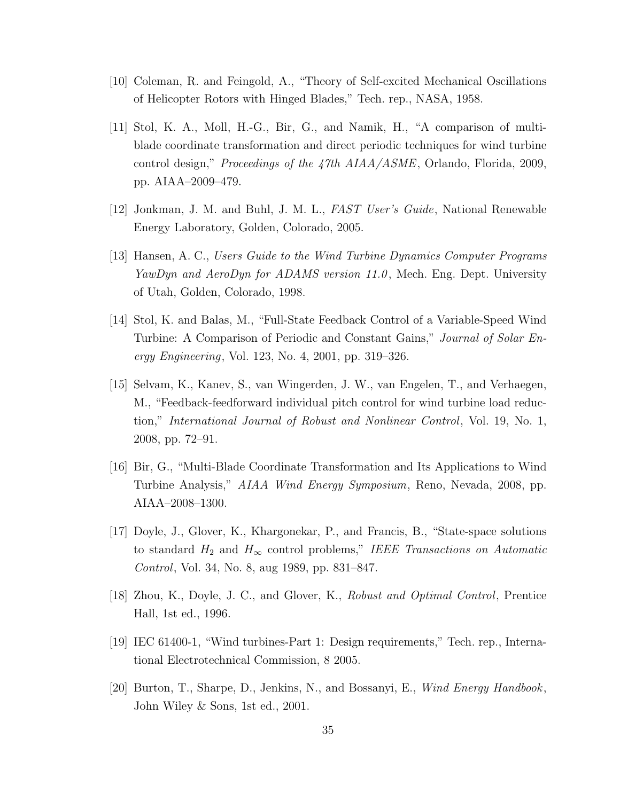- [10] Coleman, R. and Feingold, A., "Theory of Self-excited Mechanical Oscillations of Helicopter Rotors with Hinged Blades," Tech. rep., NASA, 1958.
- [11] Stol, K. A., Moll, H.-G., Bir, G., and Namik, H., "A comparison of multiblade coordinate transformation and direct periodic techniques for wind turbine control design," *Proceedings of the 47th AIAA/ASME*, Orlando, Florida, 2009, pp. AIAA–2009–479.
- [12] Jonkman, J. M. and Buhl, J. M. L., *FAST User's Guide*, National Renewable Energy Laboratory, Golden, Colorado, 2005.
- [13] Hansen, A. C., *Users Guide to the Wind Turbine Dynamics Computer Programs YawDyn and AeroDyn for ADAMS version 11.0* , Mech. Eng. Dept. University of Utah, Golden, Colorado, 1998.
- [14] Stol, K. and Balas, M., "Full-State Feedback Control of a Variable-Speed Wind Turbine: A Comparison of Periodic and Constant Gains," *Journal of Solar Energy Engineering*, Vol. 123, No. 4, 2001, pp. 319–326.
- [15] Selvam, K., Kanev, S., van Wingerden, J. W., van Engelen, T., and Verhaegen, M., "Feedback-feedforward individual pitch control for wind turbine load reduction," *International Journal of Robust and Nonlinear Control*, Vol. 19, No. 1, 2008, pp. 72–91.
- [16] Bir, G., "Multi-Blade Coordinate Transformation and Its Applications to Wind Turbine Analysis," *AIAA Wind Energy Symposium*, Reno, Nevada, 2008, pp. AIAA–2008–1300.
- [17] Doyle, J., Glover, K., Khargonekar, P., and Francis, B., "State-space solutions to standard  $H_2$  and  $H_\infty$  control problems," *IEEE Transactions on Automatic Control*, Vol. 34, No. 8, aug 1989, pp. 831–847.
- [18] Zhou, K., Doyle, J. C., and Glover, K., *Robust and Optimal Control*, Prentice Hall, 1st ed., 1996.
- [19] IEC 61400-1, "Wind turbines-Part 1: Design requirements," Tech. rep., International Electrotechnical Commission, 8 2005.
- [20] Burton, T., Sharpe, D., Jenkins, N., and Bossanyi, E., *Wind Energy Handbook*, John Wiley & Sons, 1st ed., 2001.